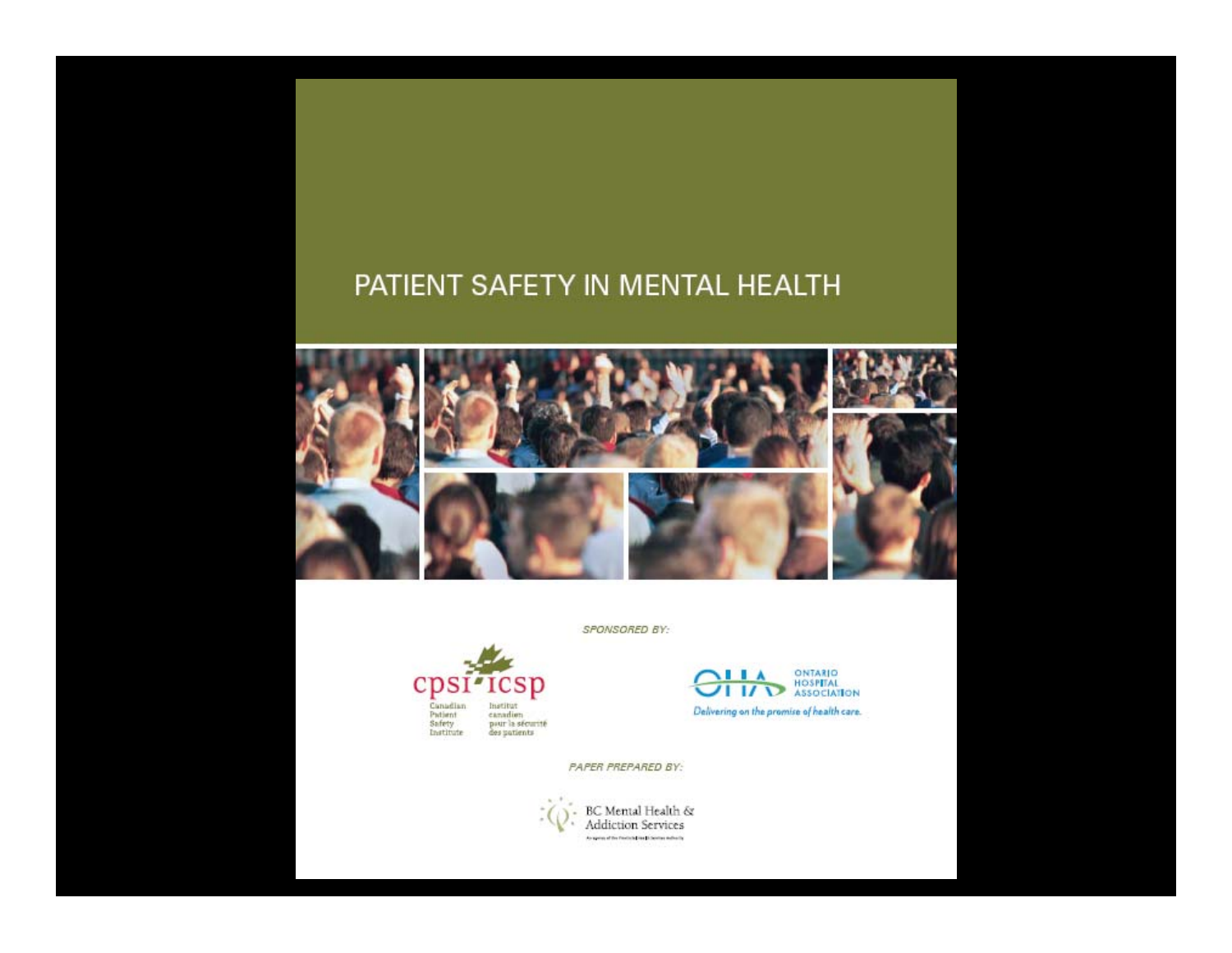#### PATIENT SAFETY IN MENTAL HEALTH



SPONSORED BY:



ONTARIO<br>HOSPITAL<br>ASSOCIATION **IIA**  $\overline{1}$   $\overline{1}$ Delivering on the promise of health care.

PAPER PREPARED BY:

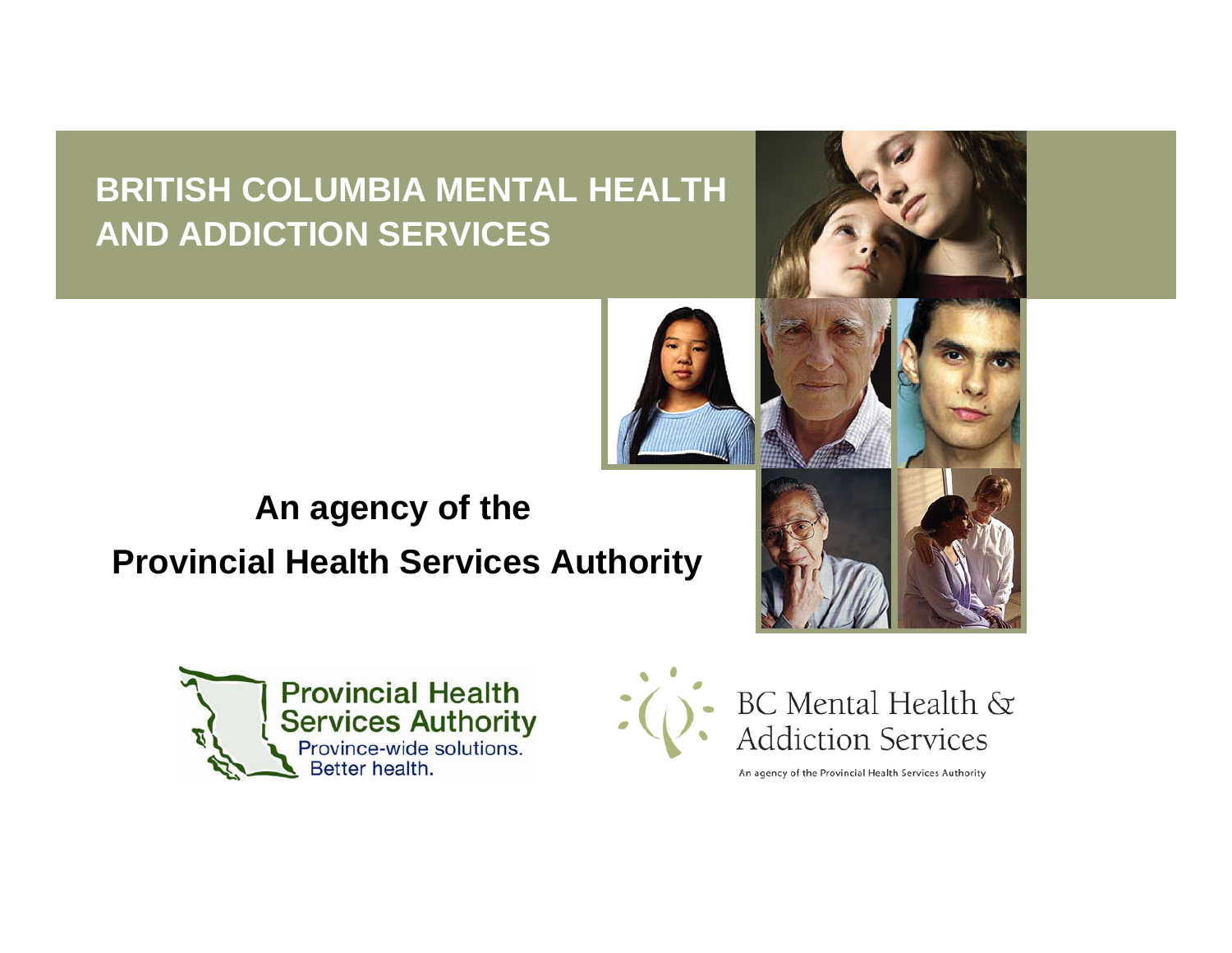#### **BRITISH COLUMBIA MENTAL HEALTH AND ADDICTION SERVICES**







An agency of the Provincial Health Services Authority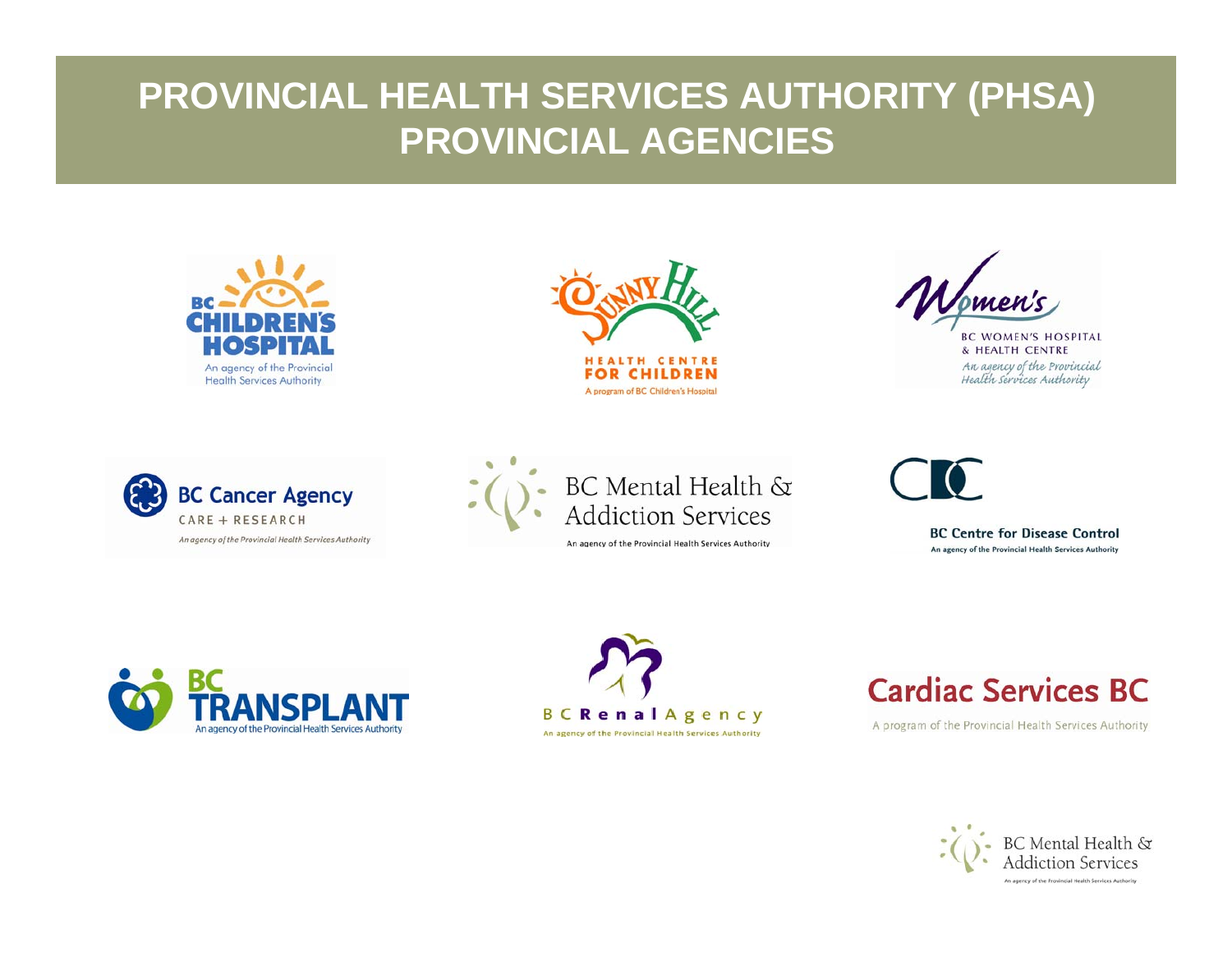#### **PROVINCIAL HEALTH SERVICES AUTHORITY (PHSA) PROVINCIAL AGENCIES**





**BC WOMEN'S HOSPITAL** & HEALTH CENTRE An agency of the Provincial<br>Health services Authority





An agency of the Provincial Health Services Authority

**BC Centre for Disease Control** An agency of the Provincial Health Services Authority





#### **Cardiac Services BC**

A program of the Provincial Health Services Authority

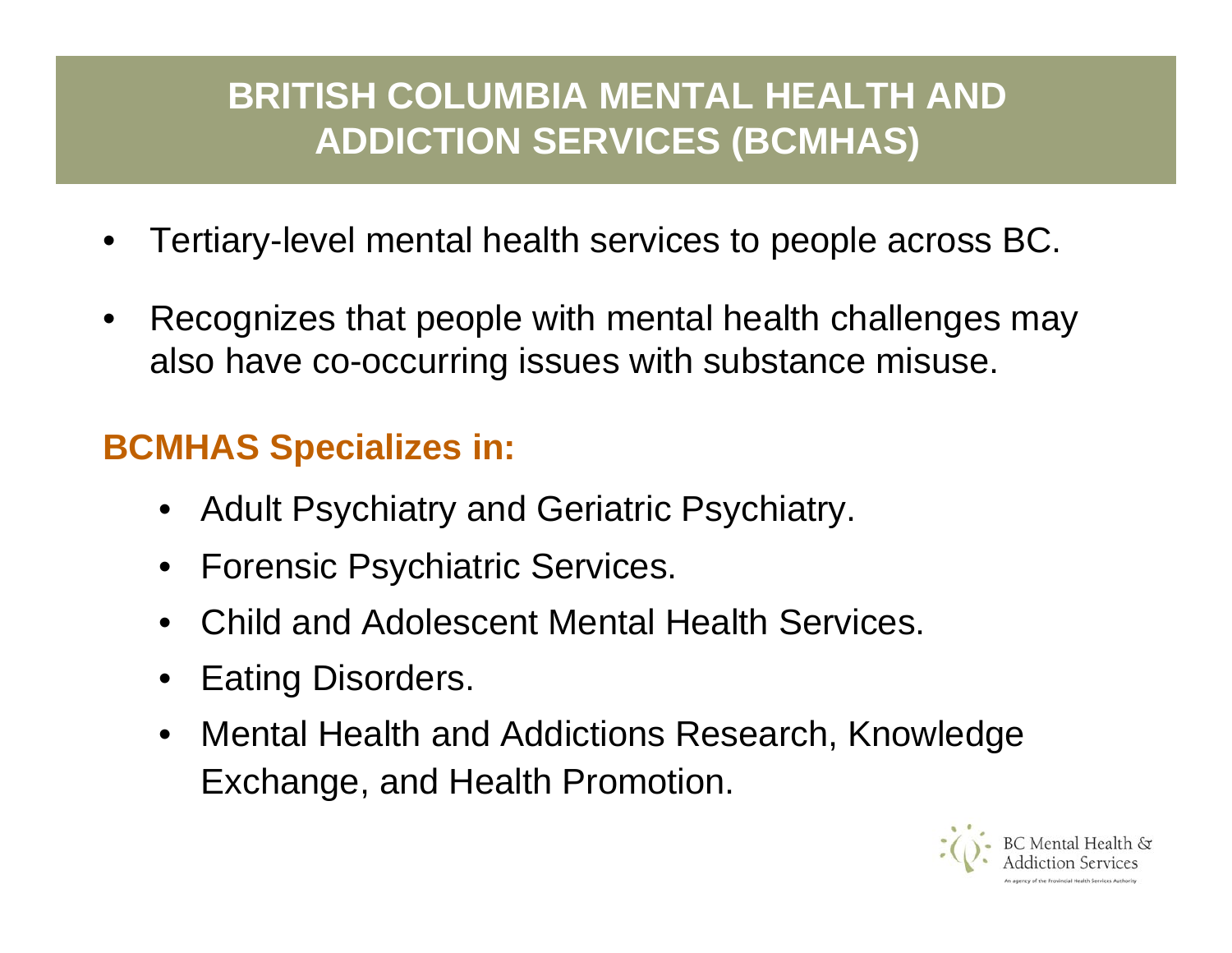## **BRITISH COLUMBIA MENTAL HEALTH AND ADDICTION SERVICES (BCMHAS)**

- •Tertiary-level mental health services to people across BC.
- •Recognizes that people with mental health challenges may also have co-occurring issues with substance misuse.

#### **BCMHAS Specializes in:**

- Adult Psychiatry and Geriatric Psychiatry.
- •Forensic Psychiatric Services.
- •Child and Adolescent Mental Health Services.
- •Eating Disorders.
- Mental Health and Addictions Research, Knowledge Exchange, and Health Promotion.

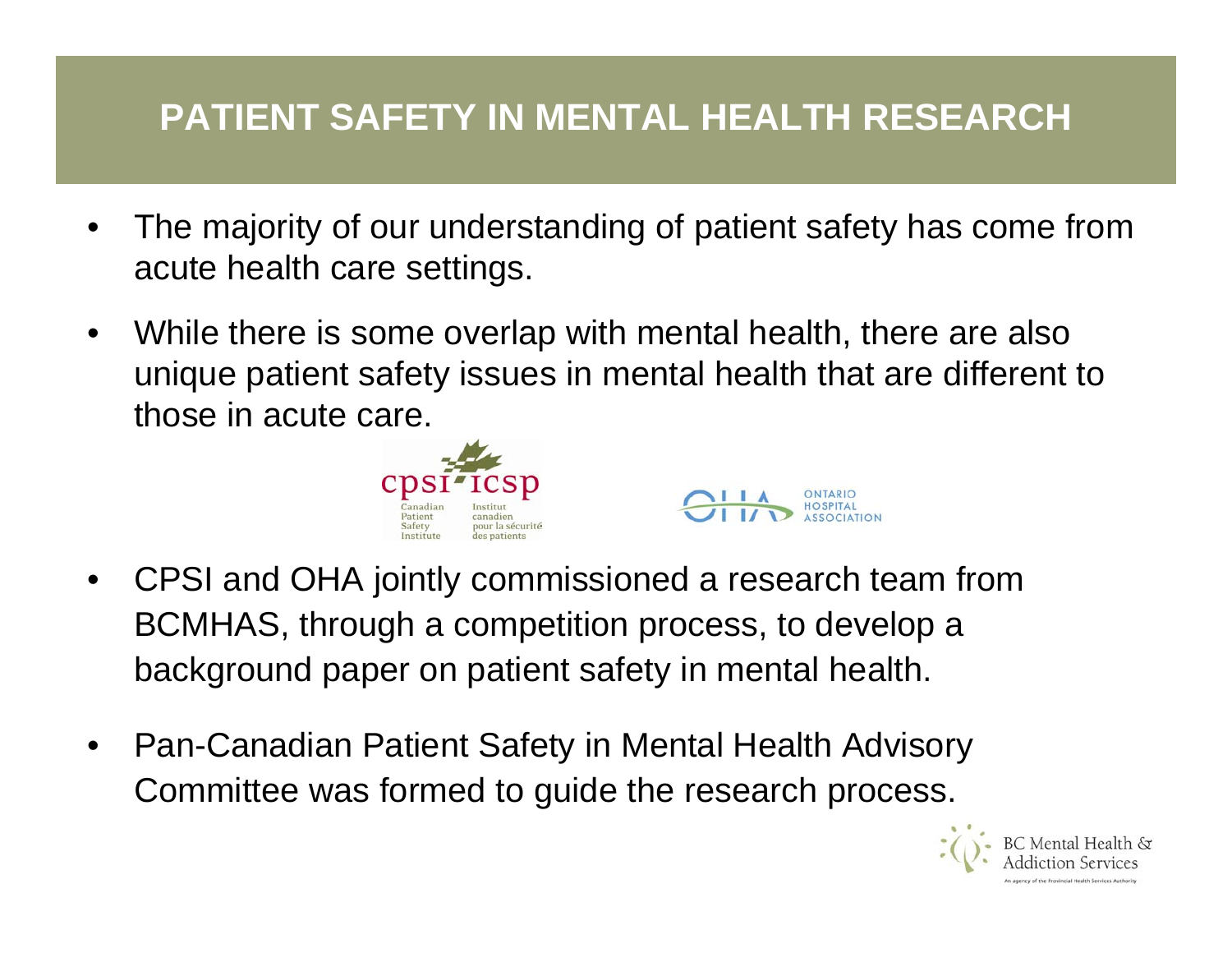## **PATIENT SAFETY IN MENTAL HEALTH RESEARCH**

- •The majority of our understanding of patient safety has come from acute health care settings.
- •While there is some overlap with mental health, there are also unique patient safety issues in mental health that are different to those in acute care.





- •CPSI and OHA jointly commissioned a research team from BCMHAS, through a competition process, to develop a background paper on patient safety in mental health.
- •Pan-Canadian Patient Safety in Mental Health Advisory Committee was formed to guide the research process.

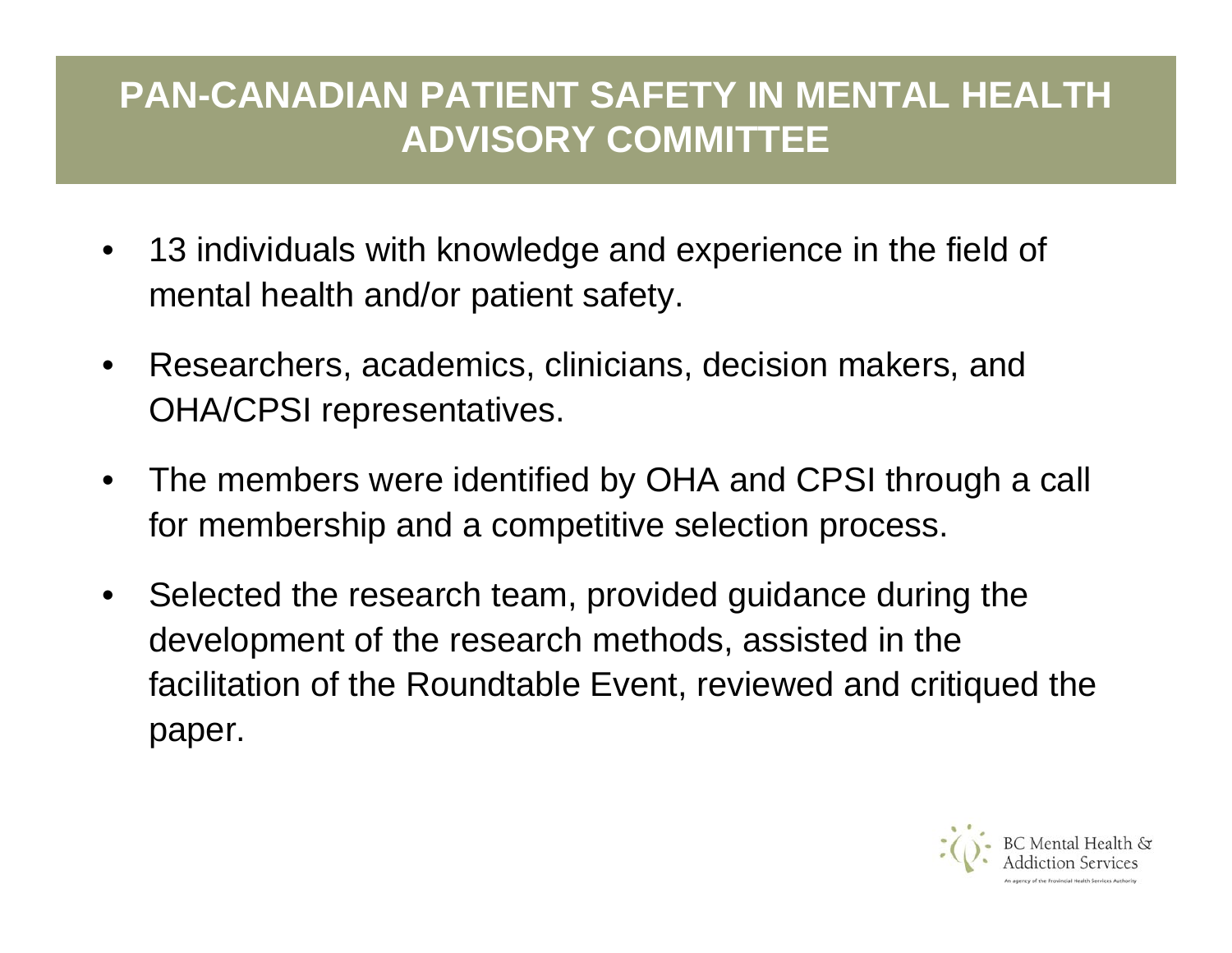## **PAN-CANADIAN PATIENT SAFETY IN MENTAL HEALTH ADVISORY COMMITTEE**

- • 13 individuals with knowledge and experience in the field of mental health and/or patient safety.
- •Researchers, academics, clinicians, decision makers, and OHA/CPSI representatives.
- •The members were identified by OHA and CPSI through a call for membership and a competitive selection process.
- •Selected the research team, provided guidance during the development of the research methods, assisted in the facilitation of the Roundtable Event, reviewed and critiqued the paper.

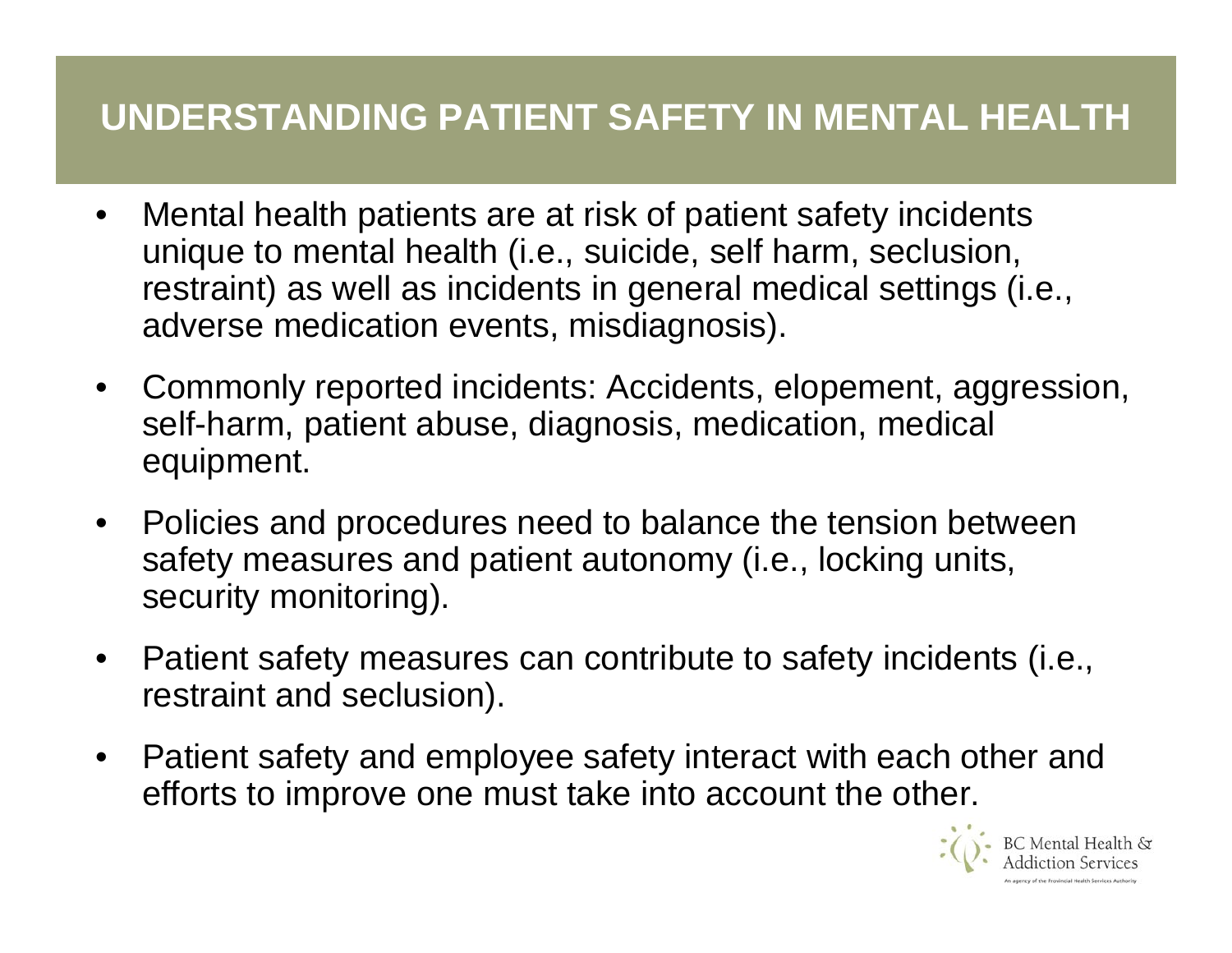## **UNDERSTANDING PATIENT SAFETY IN MENTAL HEALTH**

- •Mental health patients are at risk of patient safety incidents unique to mental health (i.e., suicide, self harm, seclusion, restraint) as well as incidents in general medical settings (i.e., adverse medication events, misdiagnosis).
- •Commonly reported incidents: Accidents, elopement, aggression, self-harm, patient abuse, diagnosis, medication, medical equipment.
- Policies and procedures need to balance the tension between safety measures and patient autonomy (i.e., locking units, security monitoring).
- •Patient safety measures can contribute to safety incidents (i.e., restraint and seclusion).
- •Patient safety and employee safety interact with each other and efforts to improve one must take into account the other.

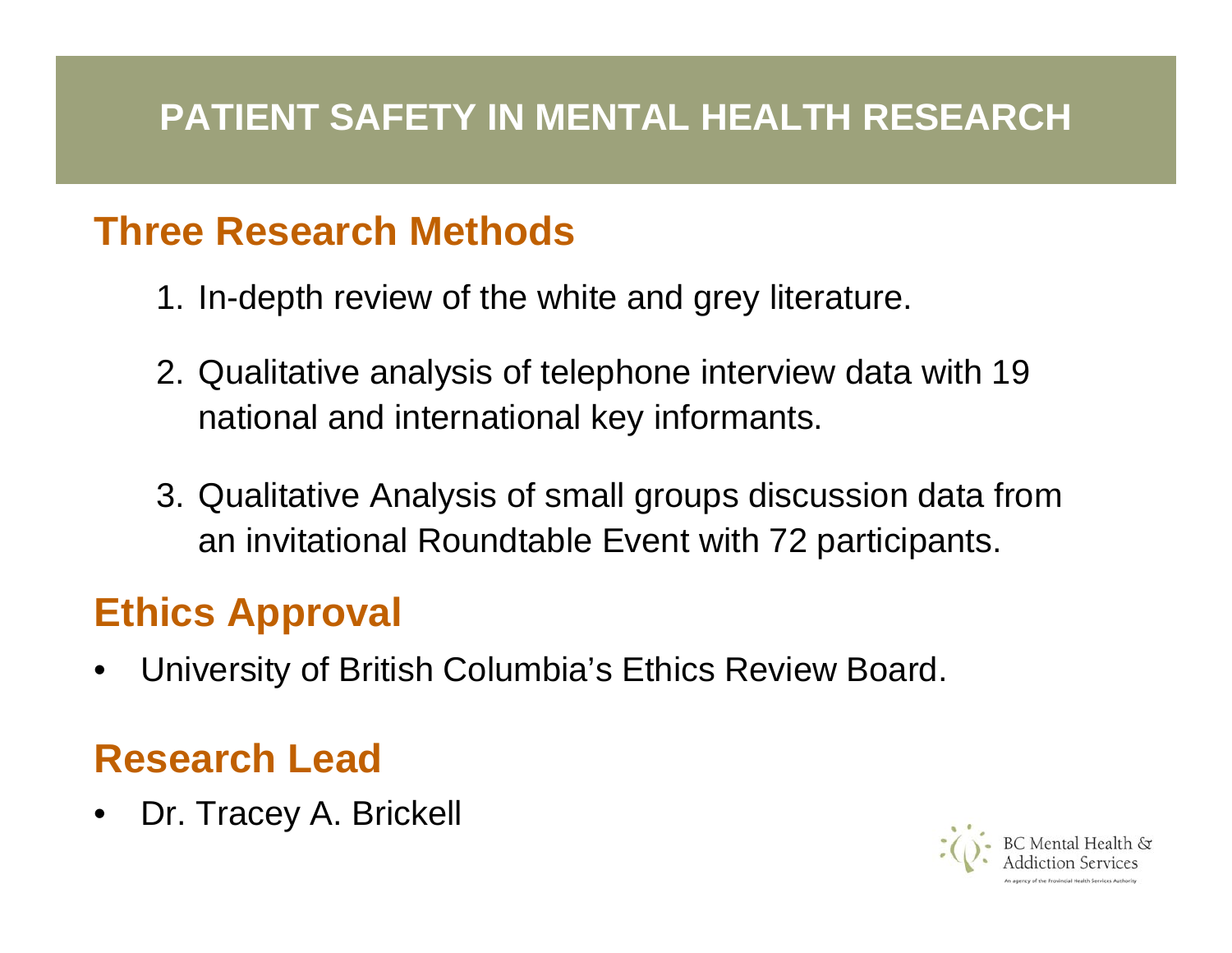#### **PATIENT SAFETY IN MENTAL HEALTH RESEARCH**

#### **Three Research Methods**

- 1. In-depth review of the white and grey literature.
- 2. Qualitative analysis of telephone interview data with 19 national and international key informants.
- 3. Qualitative Analysis of small groups discussion data from an invitational Roundtable Event with 72 participants.

# **Ethics Approval**

•University of British Columbia's Ethics Review Board.

## **Research Lead**

•Dr. Tracey A. Brickell

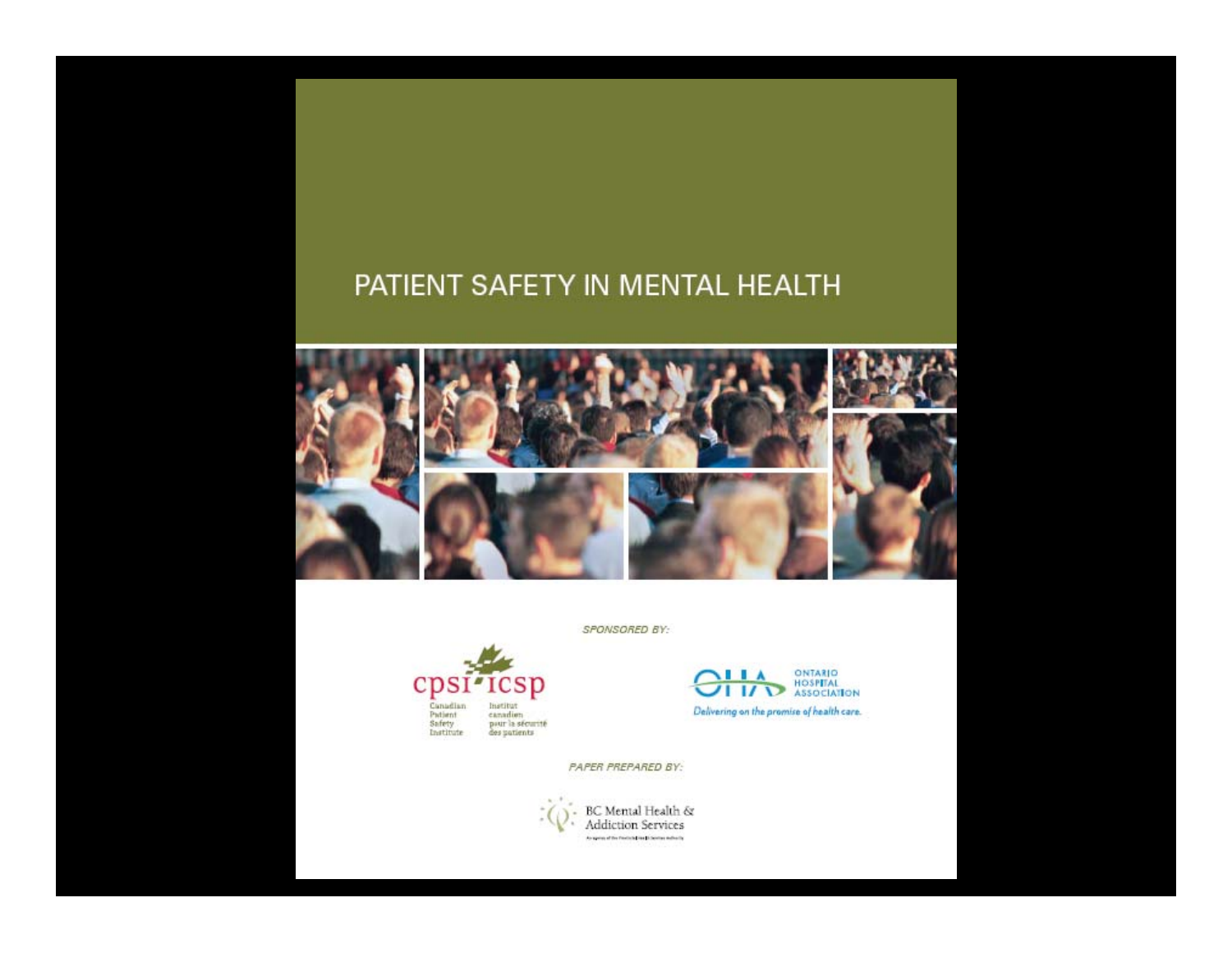#### PATIENT SAFETY IN MENTAL HEALTH



SPONSORED BY:



ONTARIO<br>HOSPITAL<br>ASSOCIATION **IIA**  $\overline{1}$   $\overline{1}$ Delivering on the promise of health care.

PAPER PREPARED BY:

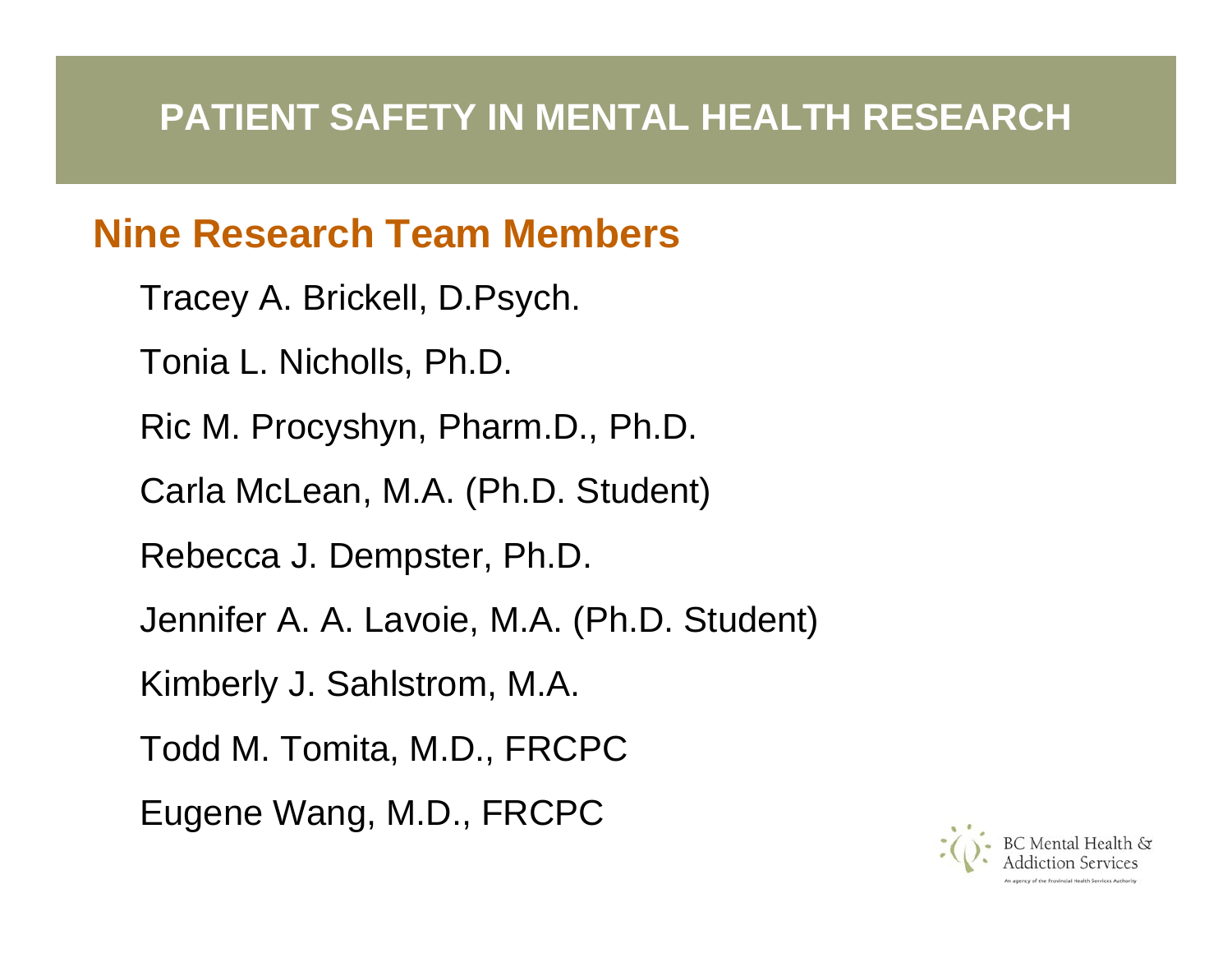#### **PATIENT SAFETY IN MENTAL HEALTH RESEARCH**

#### **Nine Research Team Members**

- Tracey A. Brickell, D.Psych.
- Tonia L. Nicholls, Ph.D.
- Ric M. Procyshyn, Pharm.D., Ph.D.
- Carla McLean, M.A. (Ph.D. Student)
- Rebecca J. Dempster, Ph.D.
- Jennifer A. A. Lavoie, M.A. (Ph.D. Student)
- Kimberly J. Sahlstrom, M.A.
- Todd M. Tomita, M.D., FRCPC
- Eugene Wang, M.D., FRCPC

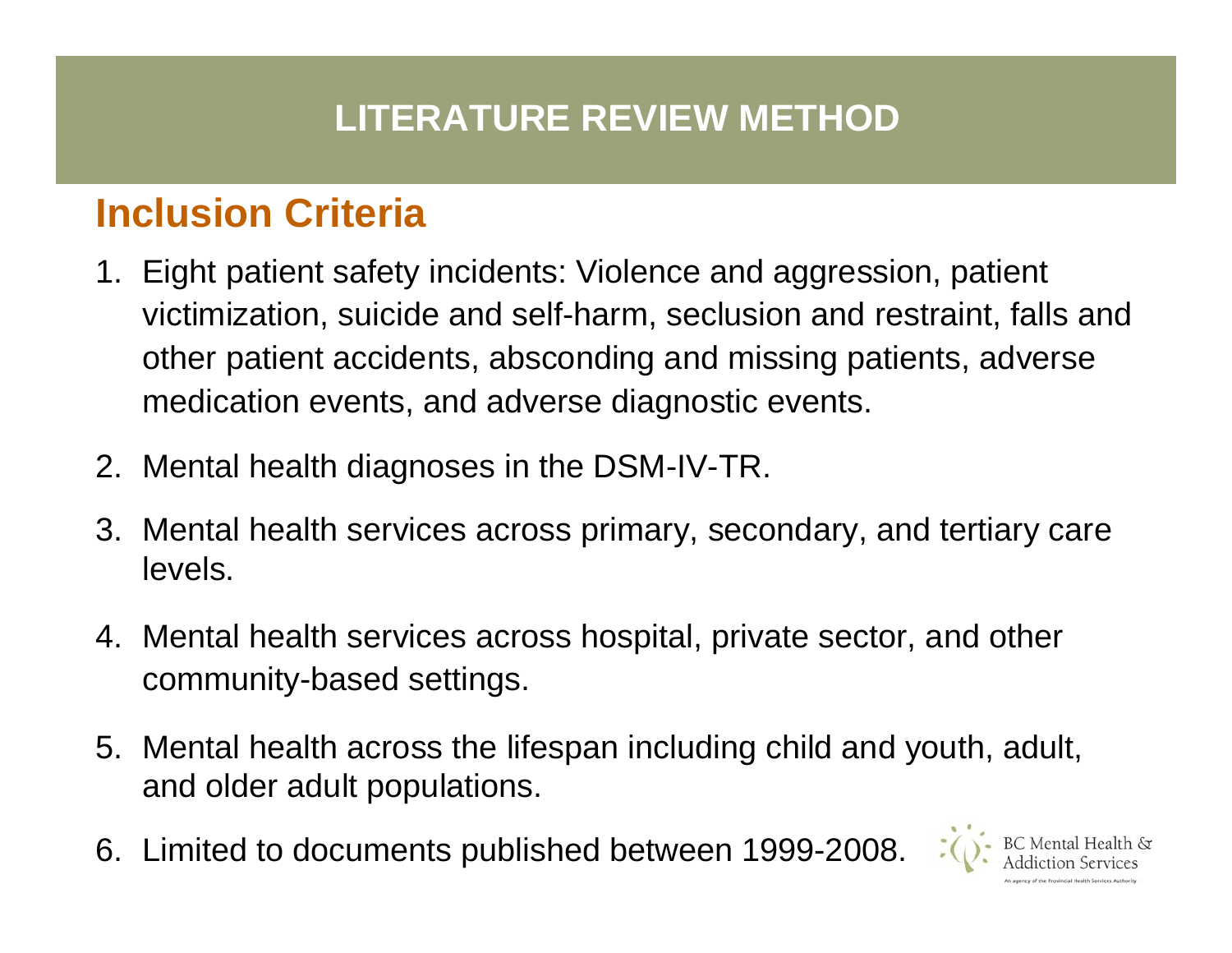## **Inclusion Criteria**

- 1. Eight patient safety incidents: Violence and aggression, patient victimization, suicide and self-harm, seclusion and restraint, falls and other patient accidents, absconding and missing patients, adverse medication events, and adverse diagnostic events.
- 2. Mental health diagnoses in the DSM-IV-TR.
- 3. Mental health services across primary, secondary, and tertiary care levels.
- 4. Mental health services across hospital, private sector, and other community-based settings.
- 5. Mental health across the lifespan including child and youth, adult, and older adult populations.
- 6. Limited to documents published between 1999-2008.

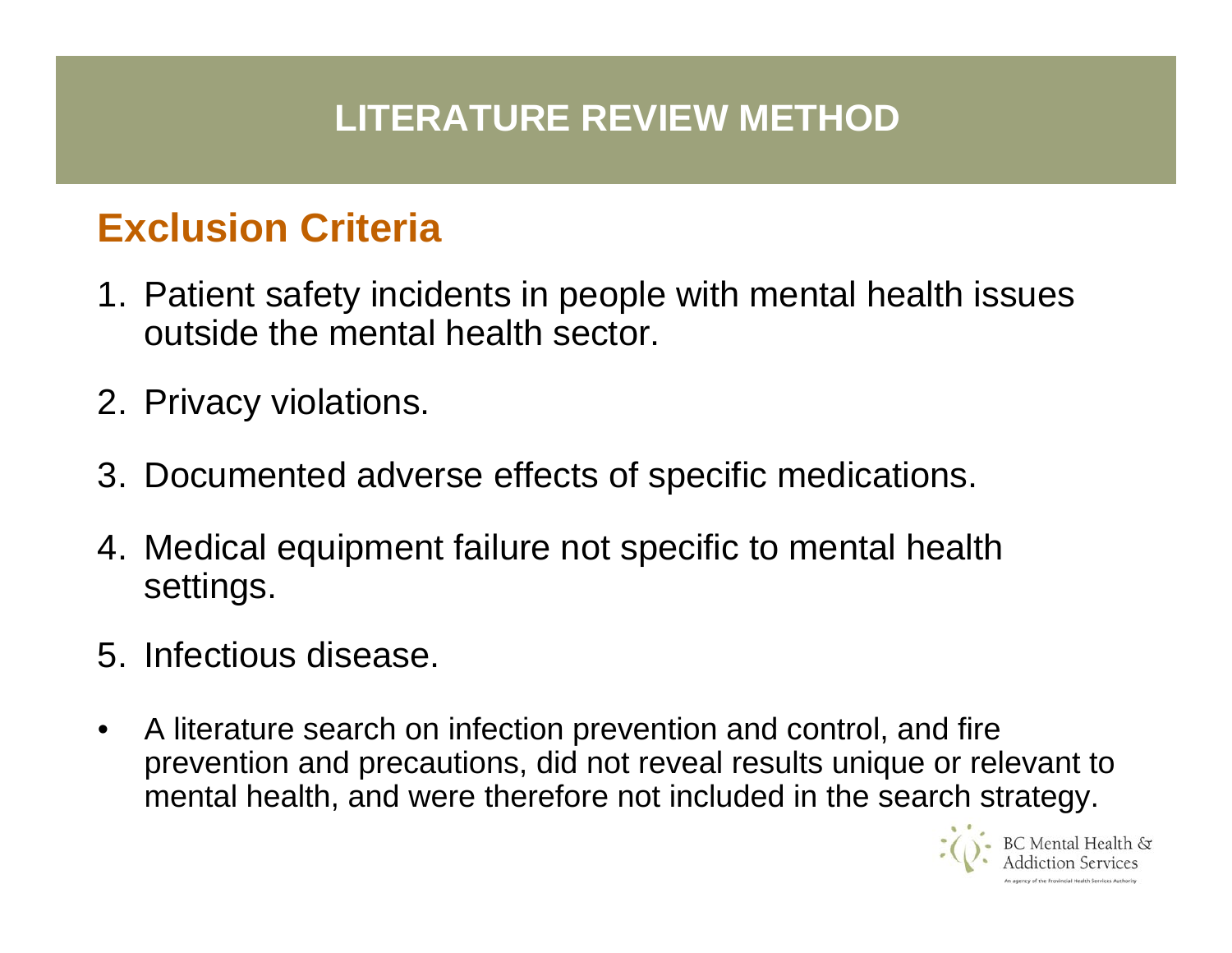### **LITERATURE REVIEW METHOD**

## **Exclusion Criteria**

- 1. Patient safety incidents in people with mental health issues outside the mental health sector.
- 2. Privacy violations.
- 3. Documented adverse effects of specific medications.
- 4. Medical equipment failure not specific to mental health settings.
- 5. Infectious disease.
- •A literature search on infection prevention and control, and fire prevention and precautions, did not reveal results unique or relevant to mental health, and were therefore not included in the search strategy.

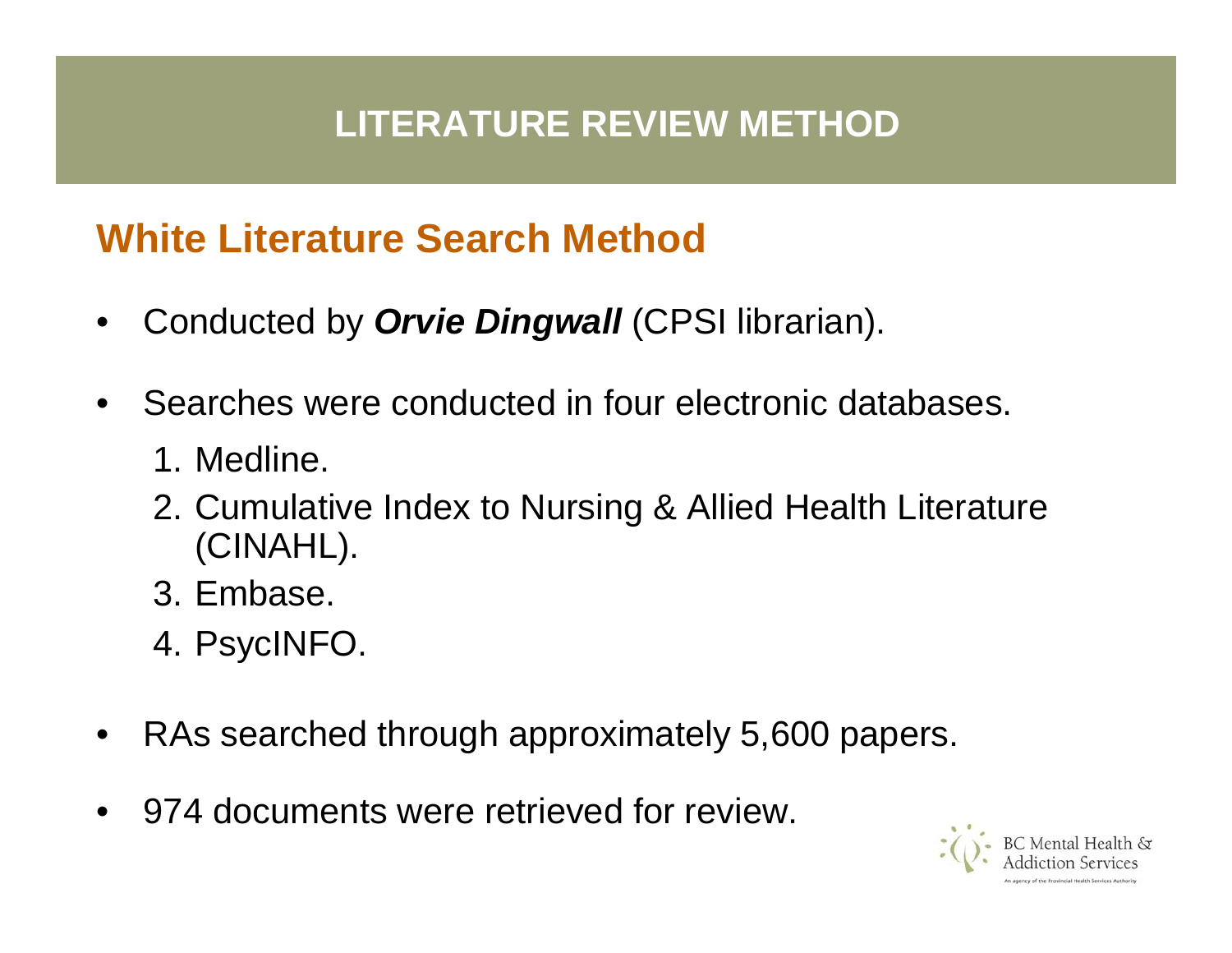## **White Literature Search Method**

- •Conducted by *Orvie Dingwall* (CPSI librarian).
- •Searches were conducted in four electronic databases.
	- 1. Medline.
	- 2. Cumulative Index to Nursing & Allied Health Literature (CINAHL).
	- 3. Embase.
	- 4. PsycINFO.
- •RAs searched through approximately 5,600 papers.
- •974 documents were retrieved for review.

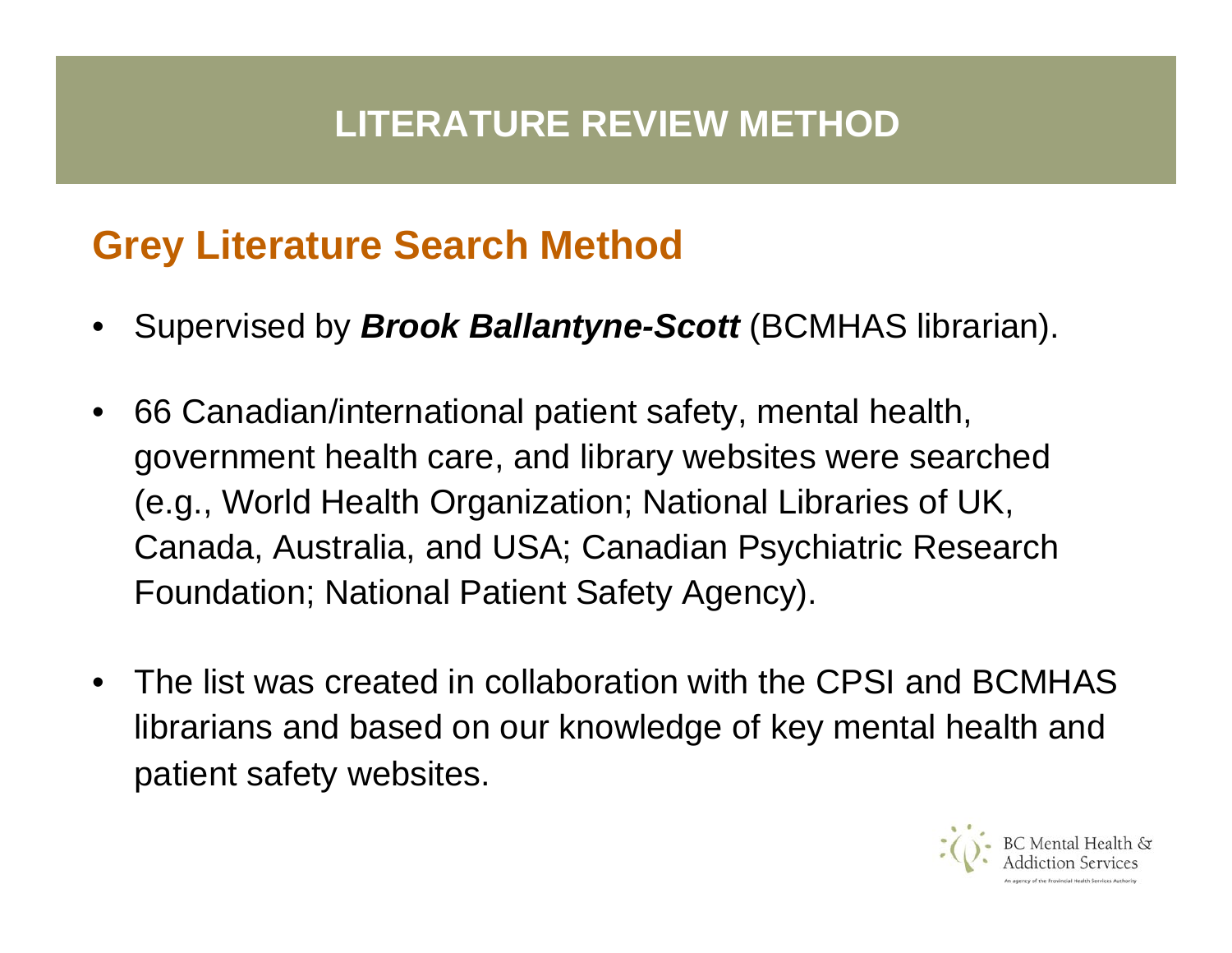## **LITERATURE REVIEW METHOD**

## **Grey Literature Search Method**

- •Supervised by *Brook Ballantyne-Scott* (BCMHAS librarian).
- $\bullet$  66 Canadian/international patient safety, mental health, government health care, and library websites were searched (e.g., World Health Organization; National Libraries of UK, Canada, Australia, and USA; Canadian Psychiatric Research Foundation; National Patient Safety Agency).
- •The list was created in collaboration with the CPSI and BCMHAS librarians and based on our knowledge of key mental health and patient safety websites.

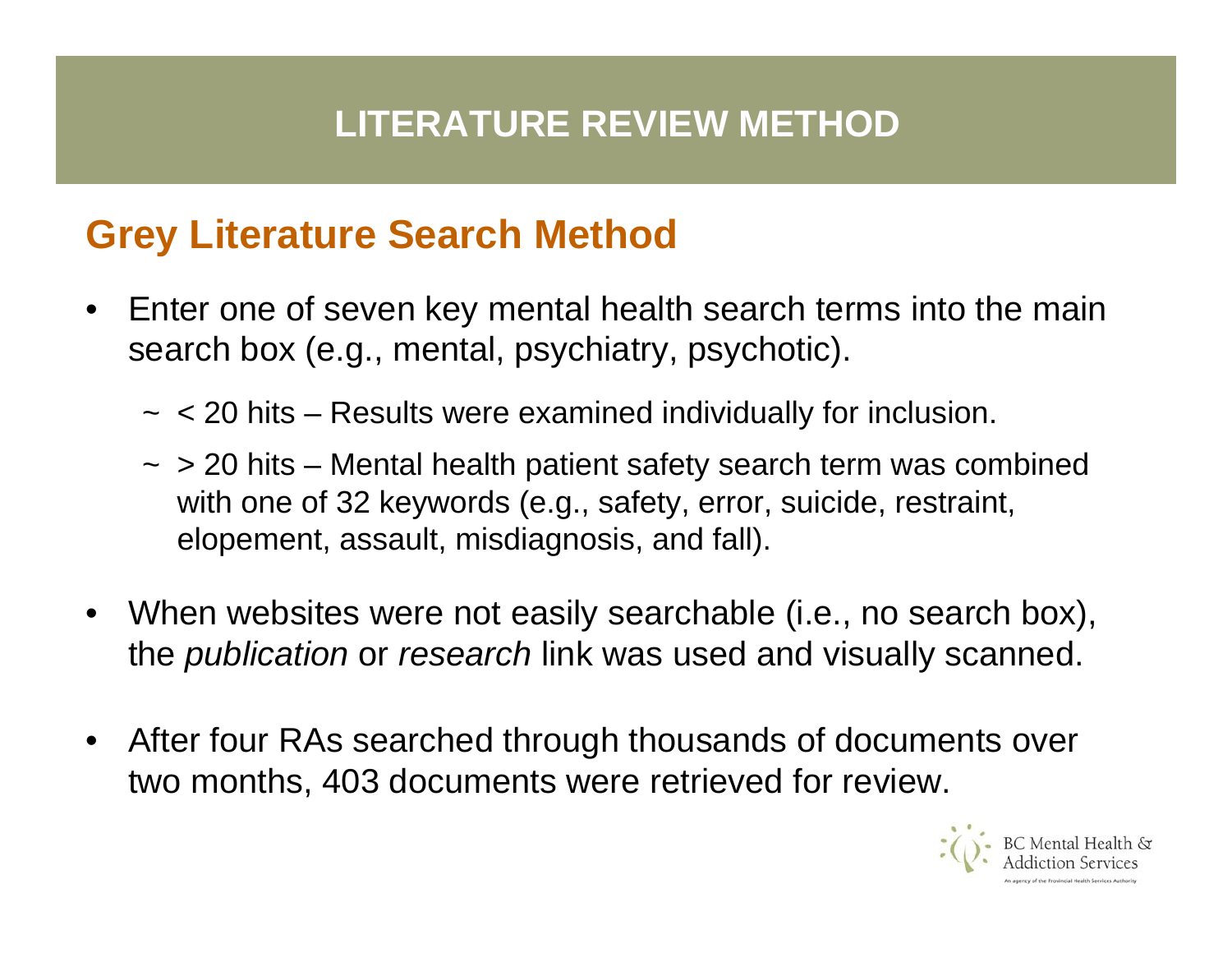## **LITERATURE REVIEW METHOD**

#### **Grey Literature Search Method**

- •Enter one of seven key mental health search terms into the main search box (e.g., mental, psychiatry, psychotic).
	- ~ < 20 hits Results were examined individually for inclusion.
	- ~ > 20 hits Mental health patient safety search term was combined with one of 32 keywords (e.g., safety, error, suicide, restraint, elopement, assault, misdiagnosis, and fall).
- When websites were not easily searchable (i.e., no search box), the *publication* or *research* link was used and visually scanned.
- •After four RAs searched through thousands of documents over two months, 403 documents were retrieved for review.

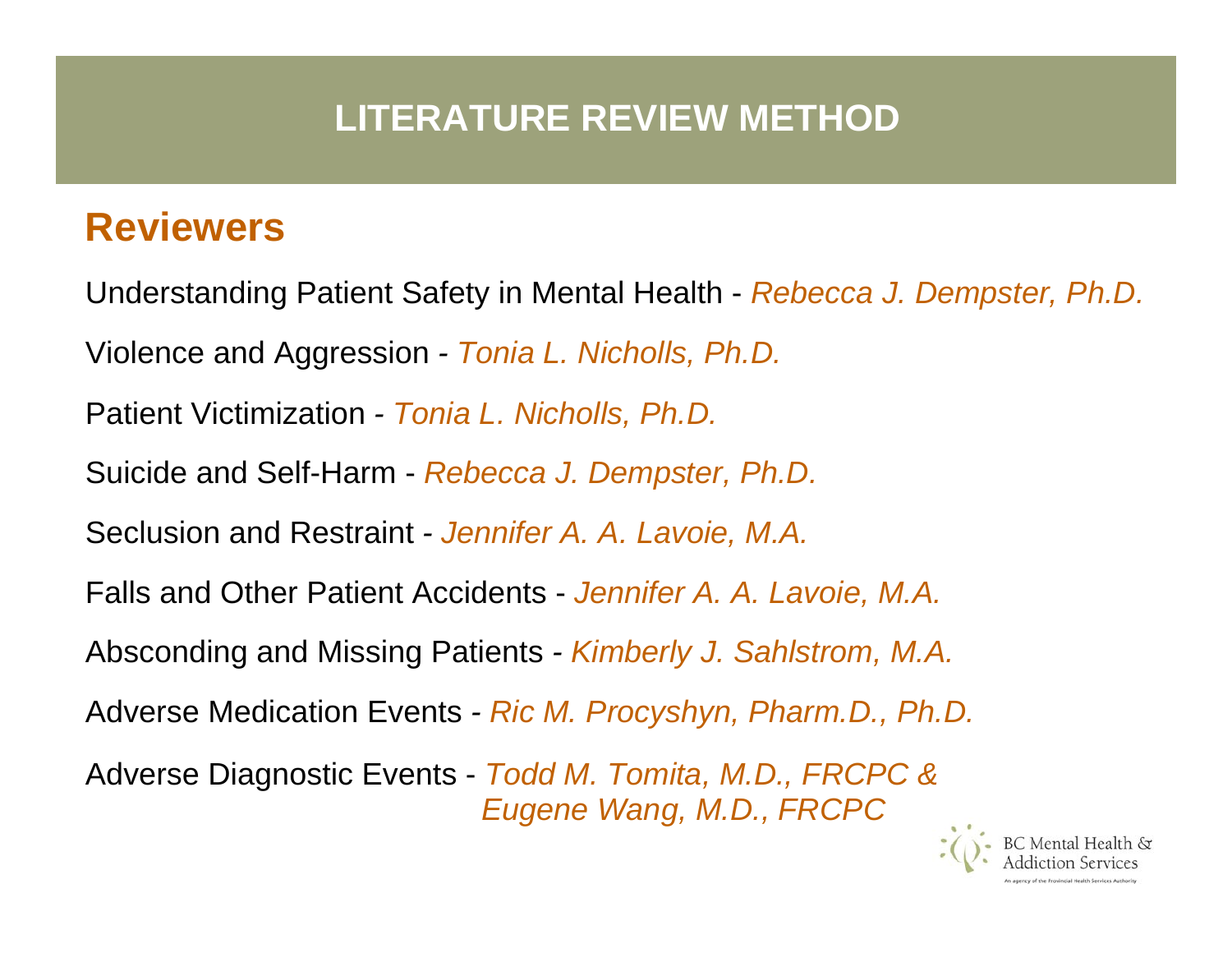#### **Reviewers**

Understanding Patient Safety in Mental Health - *Rebecc a J. Dempster, Ph.D.* Violence and Aggression *- Tonia L. Nic holls, Ph. D.* Patient Victimization *- Tonia L. Nicholls, Ph.D.* Suicide and Self-Harm - *Rebecca J. Dempster, Ph.D.* Seclusion and Restraint *- Jennifer A. A. Lavoie, M.A.* Falls and Other Patient Accidents - *Jennifer A. A. Lavoie, M.A.* Absconding and Missing Patients *- Kimberly J. Sahlstrom, M.A.* Adverse Medic ation Events *- Ric M. Procyshyn, Pharm.D., Ph.D.* Adverse Diagnostic Events - *Todd M. Tomita, M.D., FRCPC & Eugene Wang, M.D., FRCPC*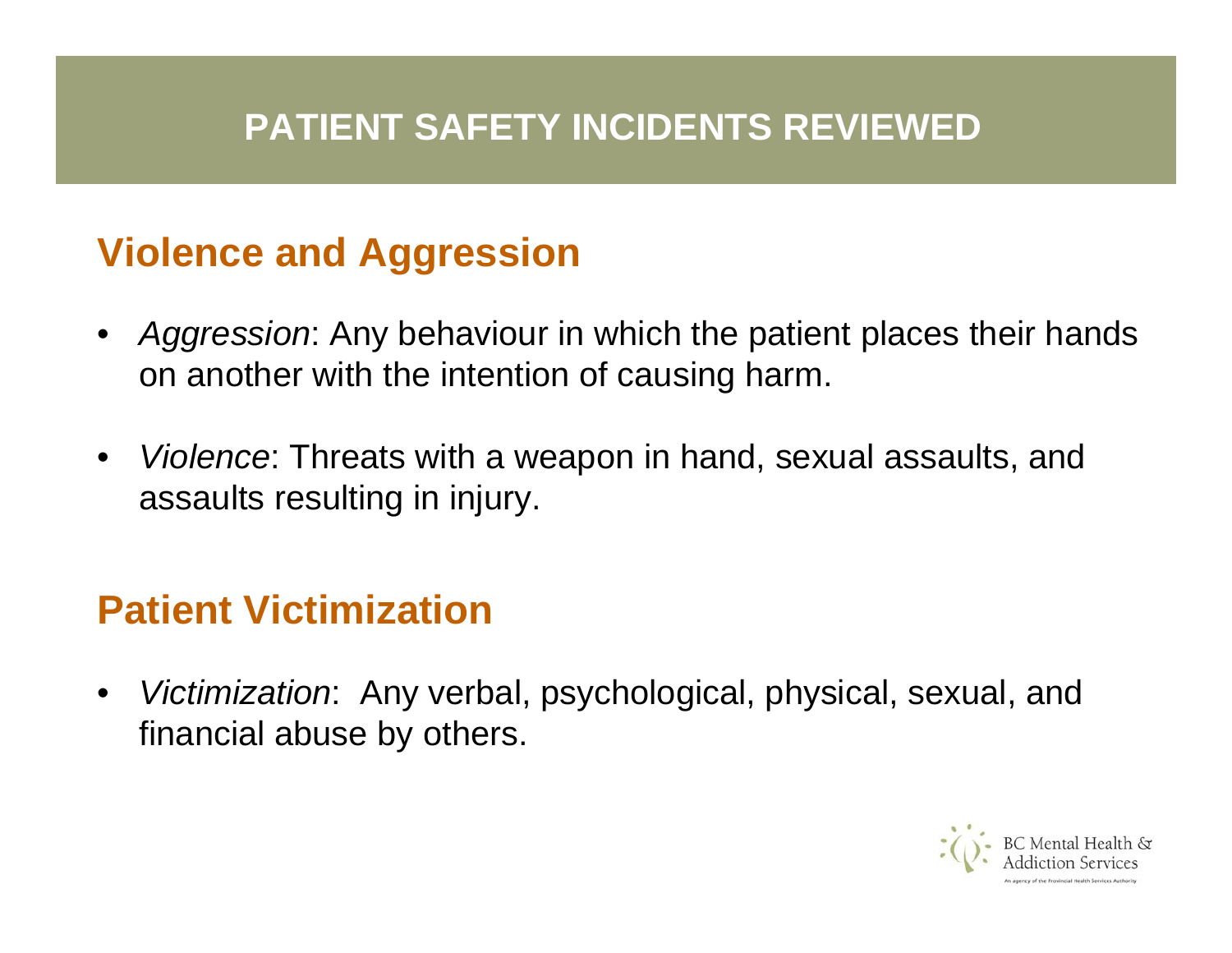### **PATIENT SAFETY INCIDENTS REVIEWED**

## **Violence and Aggression**

- *Aggression*: Any behaviour in which the patient places their hands on another with the intention of causing harm.
- • *Violence*: Threats with a weapon in hand, sexual assaults, and assaults resulting in injury.

## **Patient Victimization**

• *Victimization*: Any verbal, psychological, physical, sexual, and financial abuse by others.

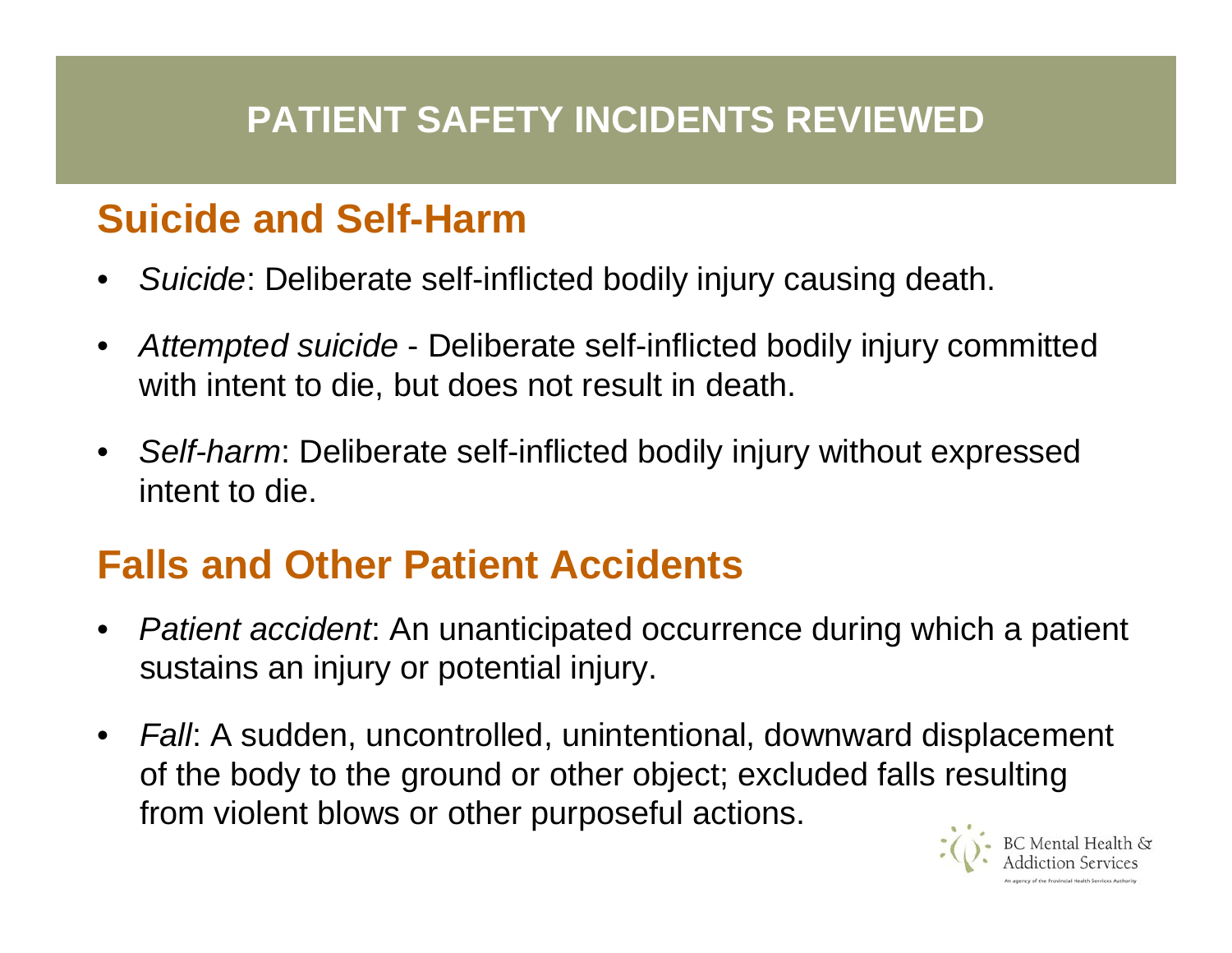# **Suicide and Self-Harm**

- •*Suicide*: Deliberate self-inflicted bodily injury causing death.
- • *Attempted suicide* - Deliberate self-inflicted bodily injury committed with intent to die, but does not r esult in death.
- *Self-harm*: Deliberate self-inflicted bodily injury without expressed intent to die.

# **Falls and Other Patient Accidents**

- • *Patient accident*: An unanticipated occurrence during which a patient sustains an injury or potential injury.
- *Fall*: A sudden, uncontrolled, unintentional, downward displacement of the body to the ground or other object; excluded falls resulting from violent blows or other purposeful actions.

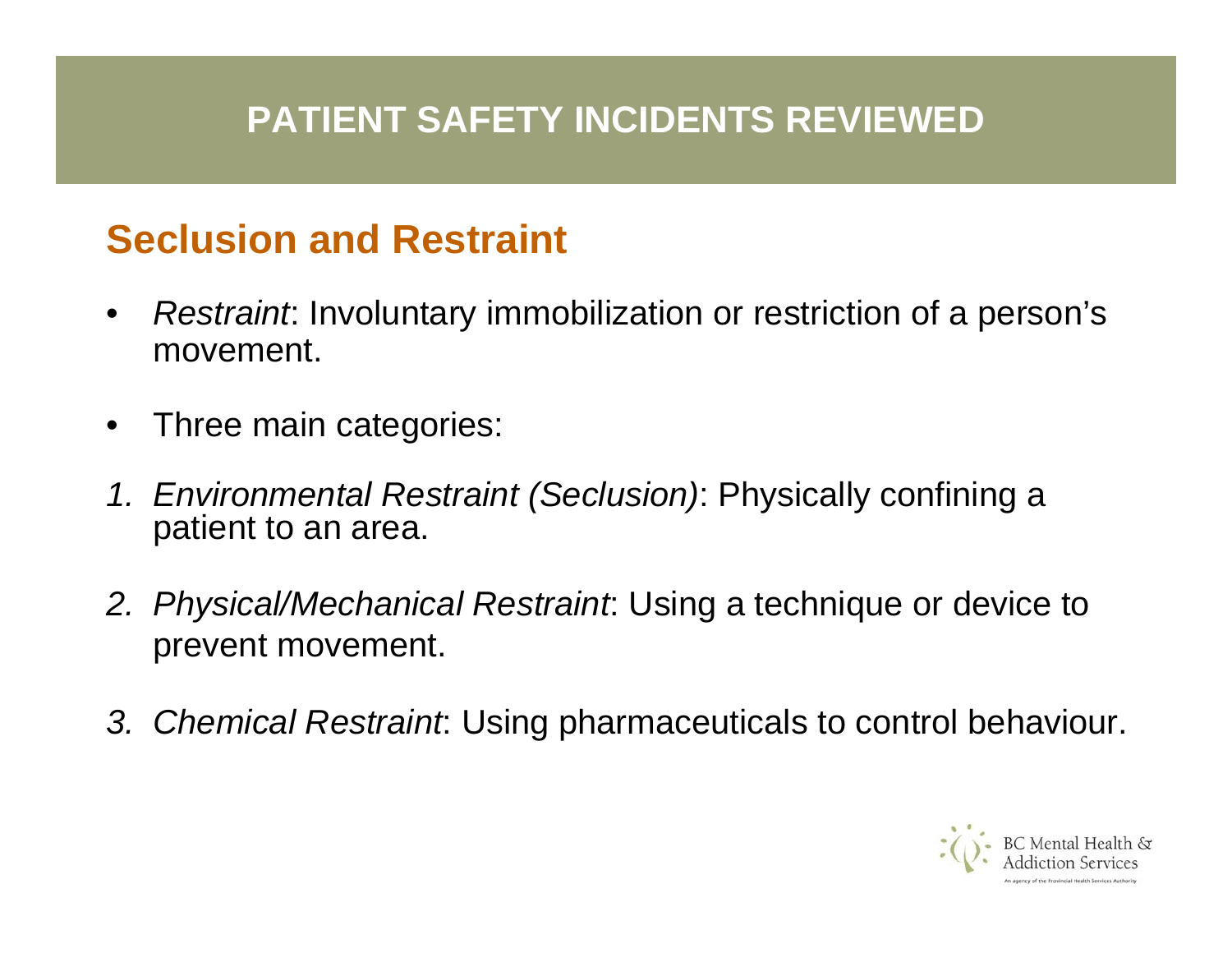#### **PATIENT SAFETY INCIDENTS REVIEWED**

## **Seclusion and Restraint**

- • *Restraint*: Involuntary immobilization or restriction of a person's movement.
- •Three main categories:
- *1. Environmental Restraint (Seclusion)*: Physically confining a patient to an area.
- *2. Physical/Mechanical Restraint*: Using a technique or device to prevent movement.
- *3. Chemical Restraint*: Using pharmaceuticals to control behaviour.

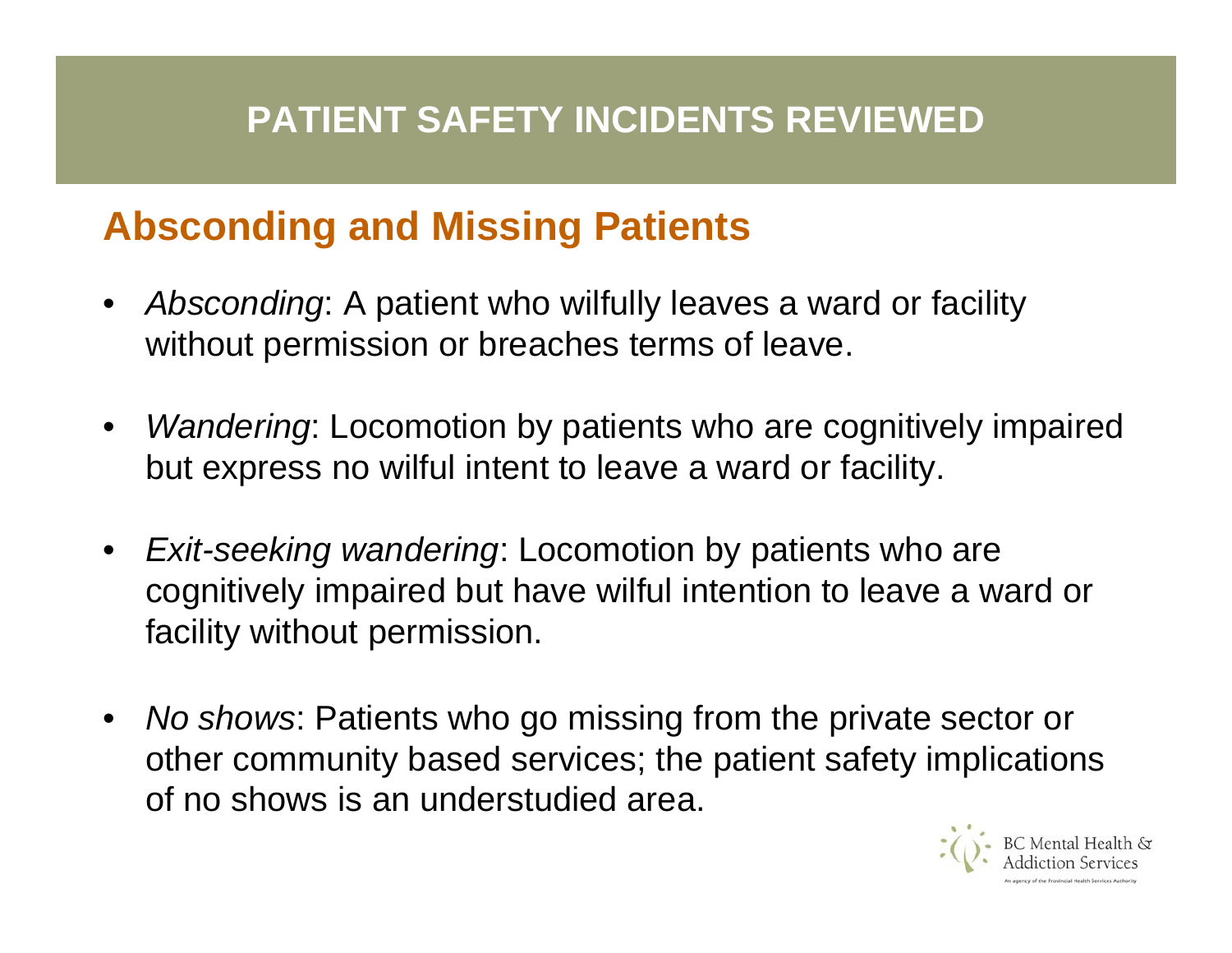## **Absconding and Missing Patients**

- • *Absconding*: A patient who wilfully leaves a ward or facility without permission or breaches terms of leave.
- • *Wandering*: Locomotion by patients who are cognitively impaired but express no wilful intent to leave a ward or facility.
- $\bullet$  *Exit-seeking wandering*: Locomotion by patients who are cognitively impaired but have wilful intention to leave a ward or facility without permission.
- • *No shows*: Patients who go missing from the private sector or other community based services; the patient safety implications of no shows is an understudied area.

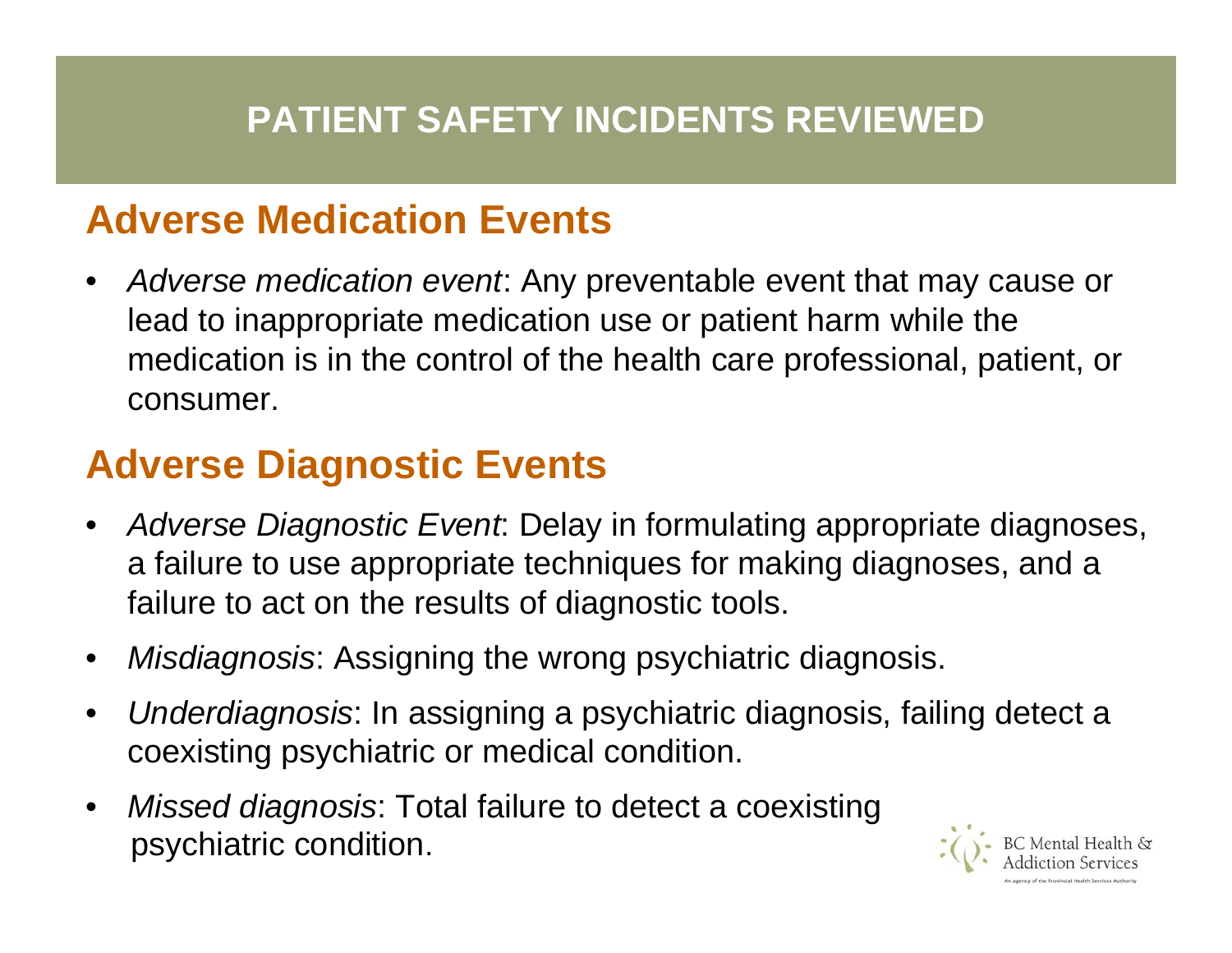#### **Adverse Medication Events**

• *Adverse medication event*: Any preventable event that may cause or lead to inappropriate medication use or patient harm while the medication is in the control of the health care professional, patient, or consumer.

## **Adverse Diagnostic Events**

- • *Adverse Diagnostic Event*: Delay in formulating appropriate diagnoses, a failure to use appropriate techniques for making diagnoses, and a failure to act on the results of diagnostic tools.
- •*Misdiagnosis*: Assigning the wrong psychiatric diagnosis.
- • *Underdiagnosis*: In assigning a psychiatric diagnosis, failing detect a coexisting psychiatric or medical condition.
- • *Missed diagnosis*: Total failure to detect a coexisting psychiatric condition.

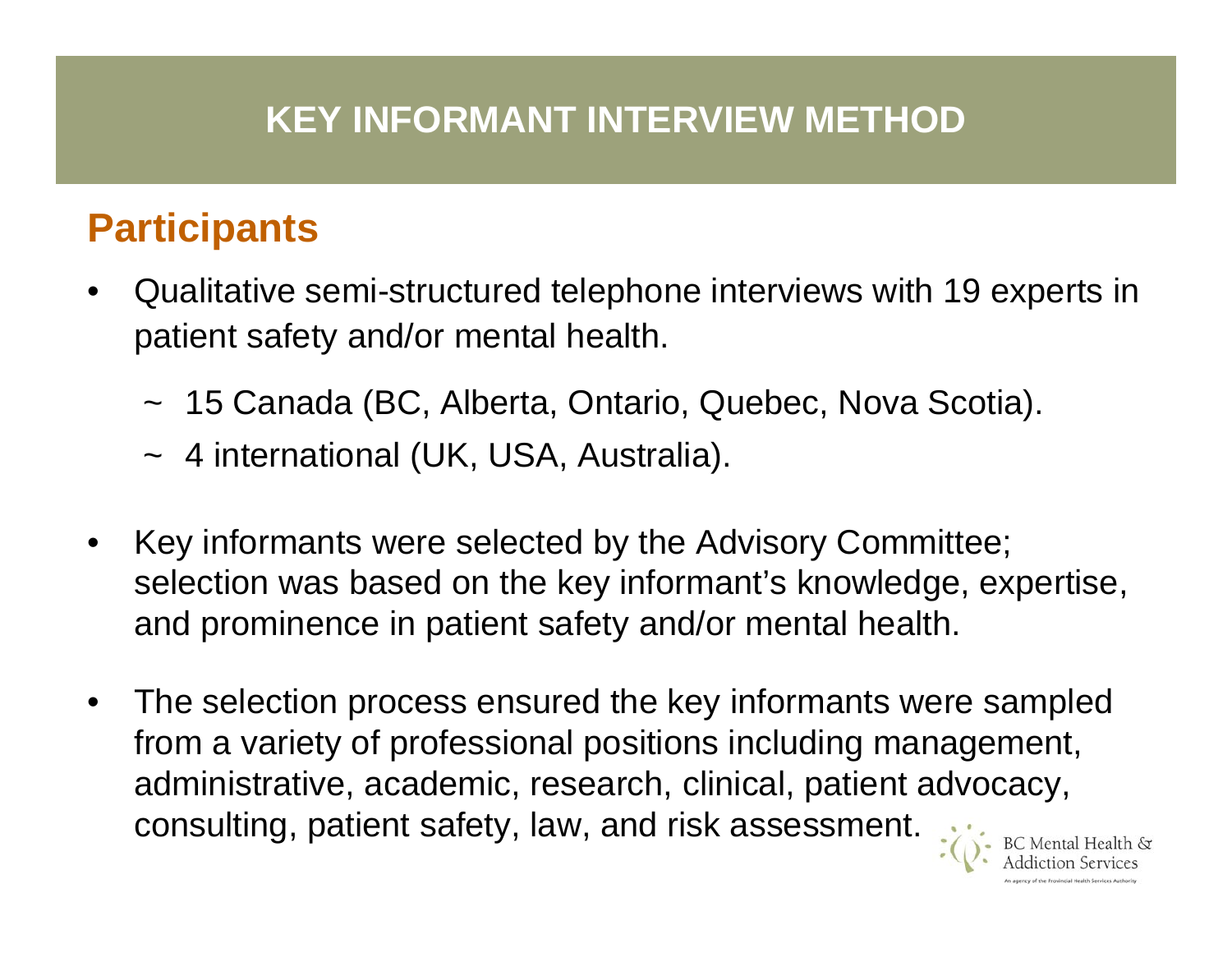#### **KEY INFORMANT INTERVIEW METHOD**

## **Participants**

- •Qualitative semi-structured telephone interviews with 19 experts in patient safety and/or mental health.
	- ~15 Canada (BC, Alberta, Ontario, Quebec, Nova Scotia).
	- ~ 4 international (UK, USA, Australia).
- •Key informants were selected by the Advisory Committee; selection was based on the key informant's knowledge, expertise, and prominence in patient safety and/or mental health.
- •The selection process ensured the key informants were sampled from a variety of professional positions including management, administrative, academic, research, clinical, patient advocacy, consulting, patient safety, law, and risk assessment.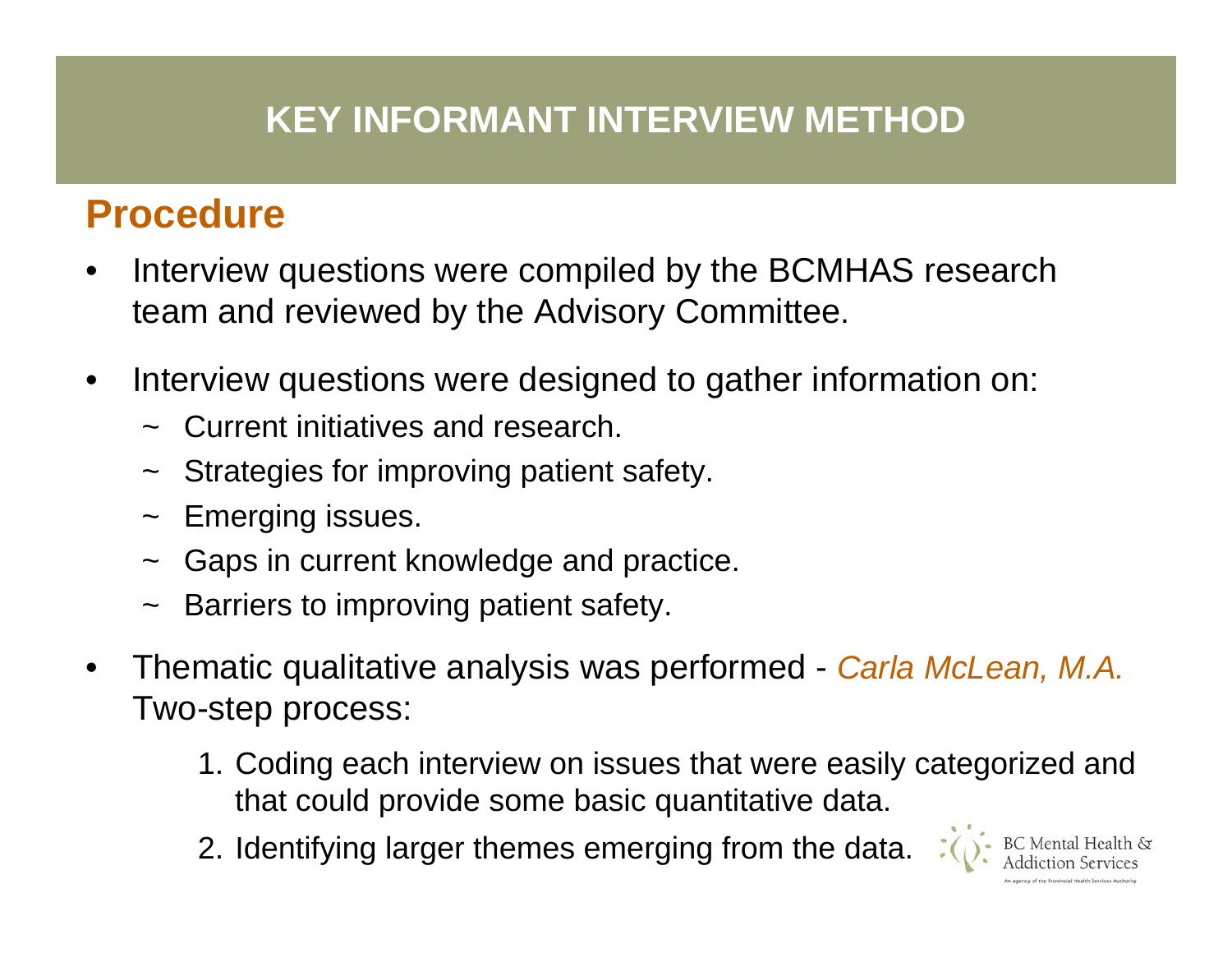#### **KEY INFORMANT INTERVIEW METHOD**

## **Procedure**

- • Interview questions were compiled by the BCMHAS research team and reviewed by the Advisory Committee.
- • Interview questions were designed to gather information on:
	- ~Current initiatives and research.
	- $\sim$ Strategies for improving patient safety.
	- $\sim$ Emerging issues.
	- $\sim$ Gaps in current knowledge and practice.
	- $\sim$ Barriers to improving patient safety.
- •Thematic qualitative analysis was performed - *Carla McLean, M.A.* Two-step process:
	- 1. Coding each interview on issues that were easily categorized and that could provide some basic quantitative data.
	- 2. Identifying larger themes emerging from the data.

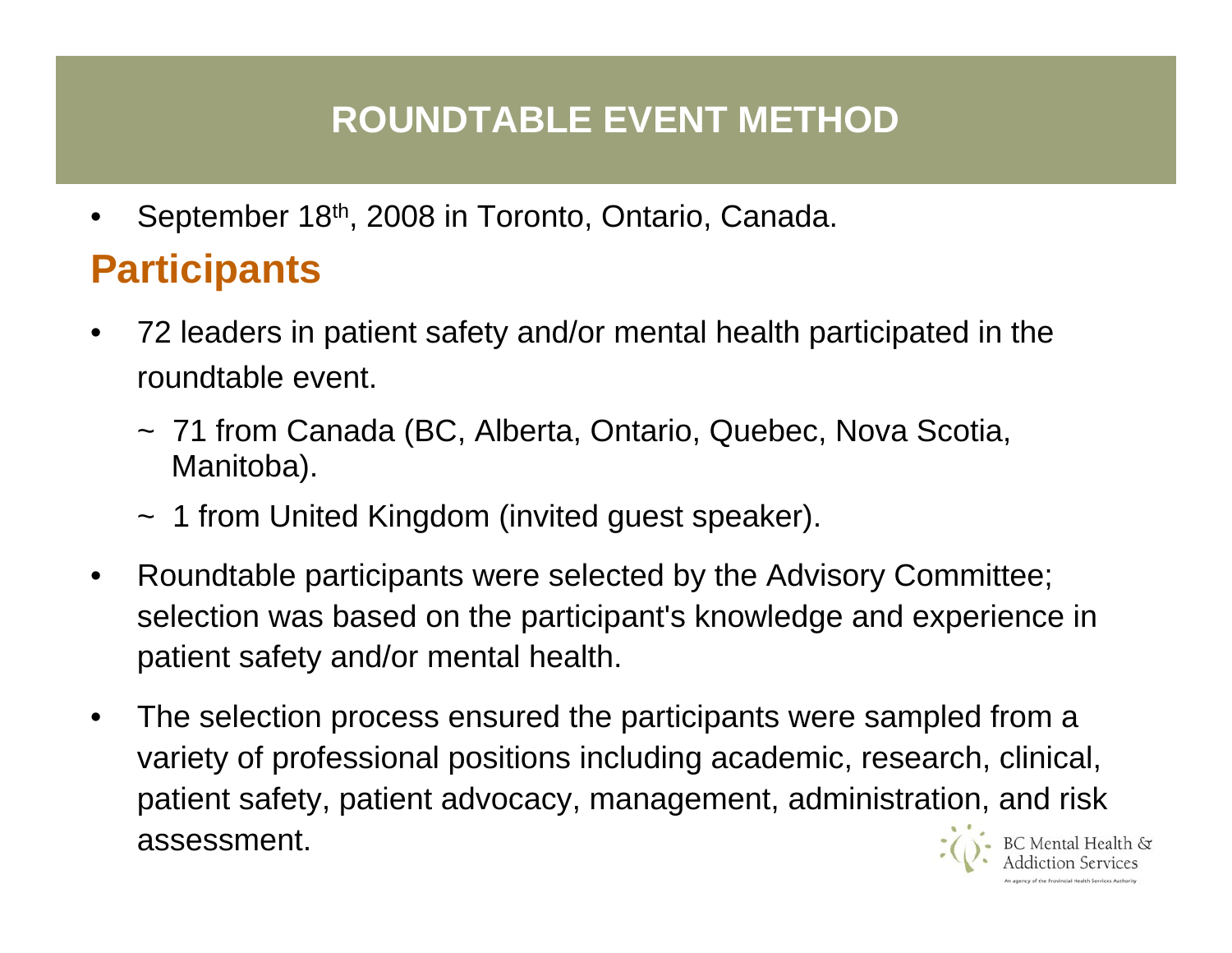### **ROUNDTABLE EVENT METHOD**

•September 18th, 2008 in Toronto, Ontario, Canada.

# **Participants**

- • 72 leaders in patient safety and/or mental health participated in the roundtable event.
	- ~ 71 from Canada (BC, Alberta, Ontario, Quebec, Nova Scotia, Manitoba).
	- ~ 1 from United Kingdom (invited guest speaker).
- •Roundtable participants were selected by the Advisory Committee; selection was based on the participant's knowledge and experience in patient safety and/or mental health.
- •The selection process ensured the participants were sampled from <sup>a</sup> variety of professional positions including academic, research, clinical, patient safety, patient advocacy, management, administration, and risk assessment.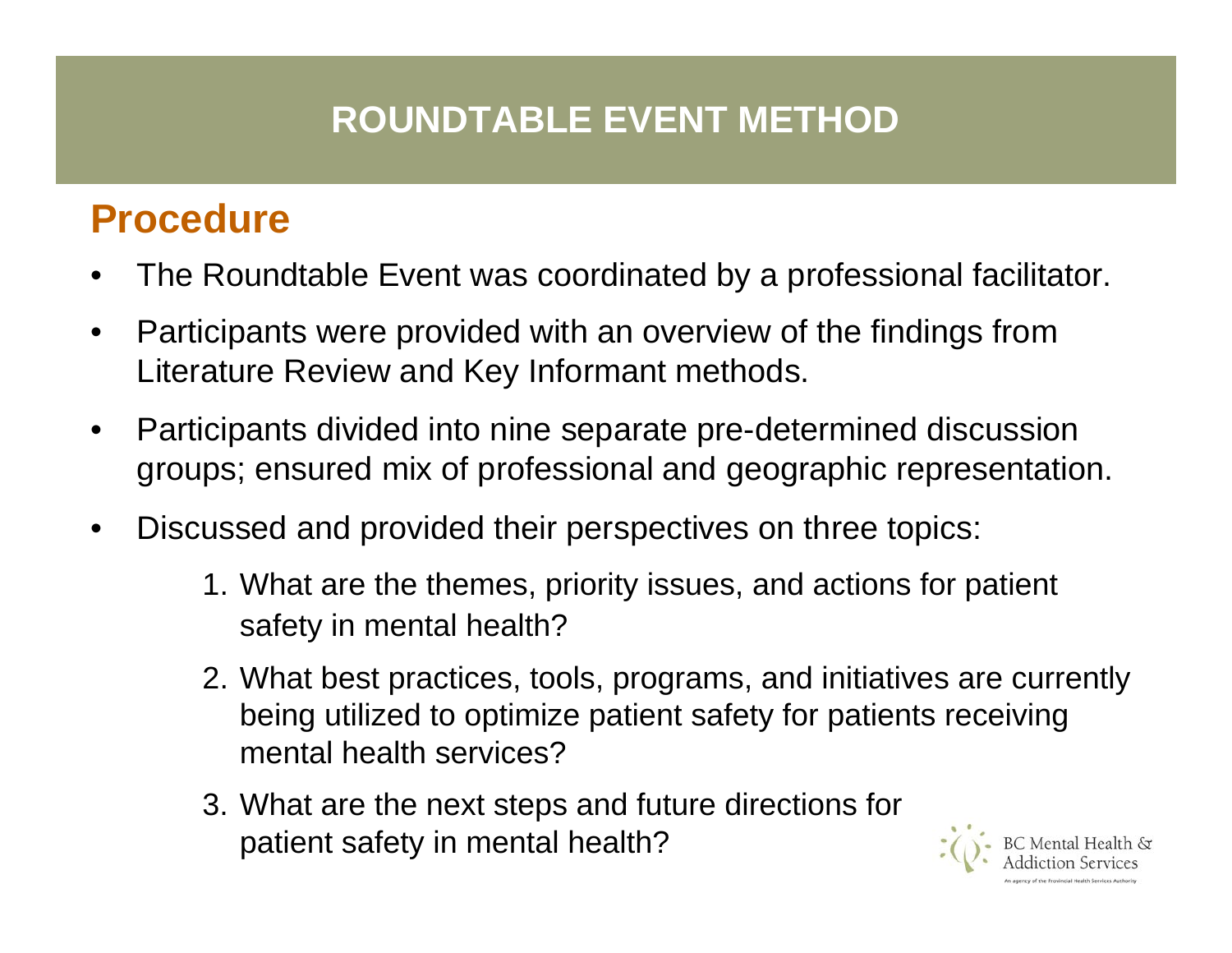### **ROUNDTABLE EVENT METHOD**

## **Procedure**

- •The Roundtable Event was coordinated by a professional facilitator.
- •Participants were provided with an overview of the findings from Literature Review and Key Informant methods.
- $\bullet$ Participants divided into nine separate pre-determined discussion groups; ensured mix of professional and geographic representation.
- •Discussed and provided their perspectives on three topics:
	- 1. What are the themes, priority issues, and actions for patient safety in mental health?
	- 2. What best practices, tools, programs, and initiatives are currently being utilized to optimize patient safety for patients receiving mental health services?
	- 3. What are the next steps and future directions for patient safety in mental health?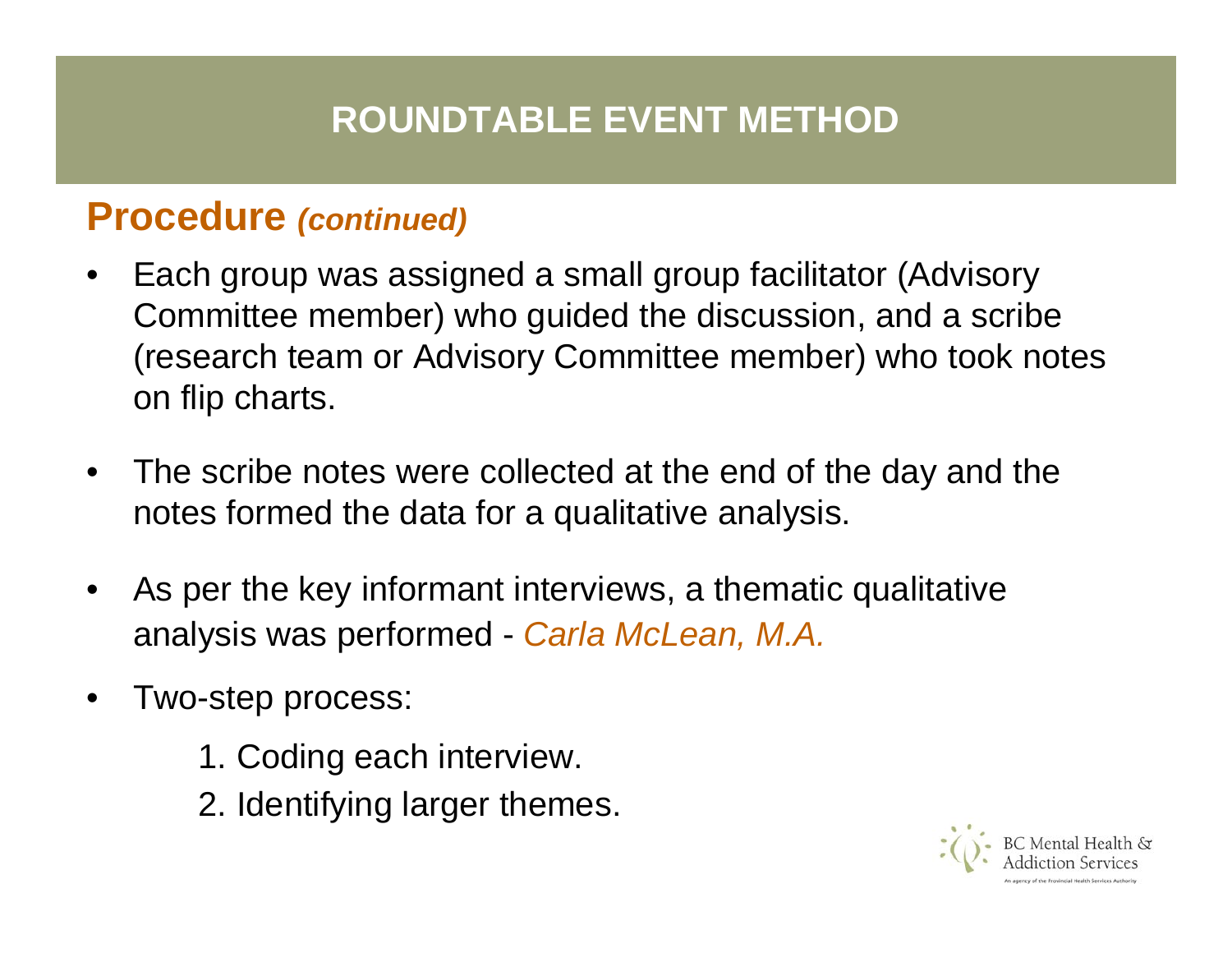#### **ROUNDTABLE EVENT METHOD**

#### **Procedure** *(continued)*

- •Each group was assigned a small group facilitator (Advisory Committee member) who guided the discussion, and a scribe (research team or Advisory Committee member) who took notes on flip charts.
- •The scribe notes were collected at the end of the day and the notes formed the data for a qualitative analysis.
- •As per the key informant interviews, a thematic qualitative analysis was performed - *Carla McLean, M.A.*
- •Two-step process:
	- 1. Coding each interview.
	- 2. Identifying larger themes.

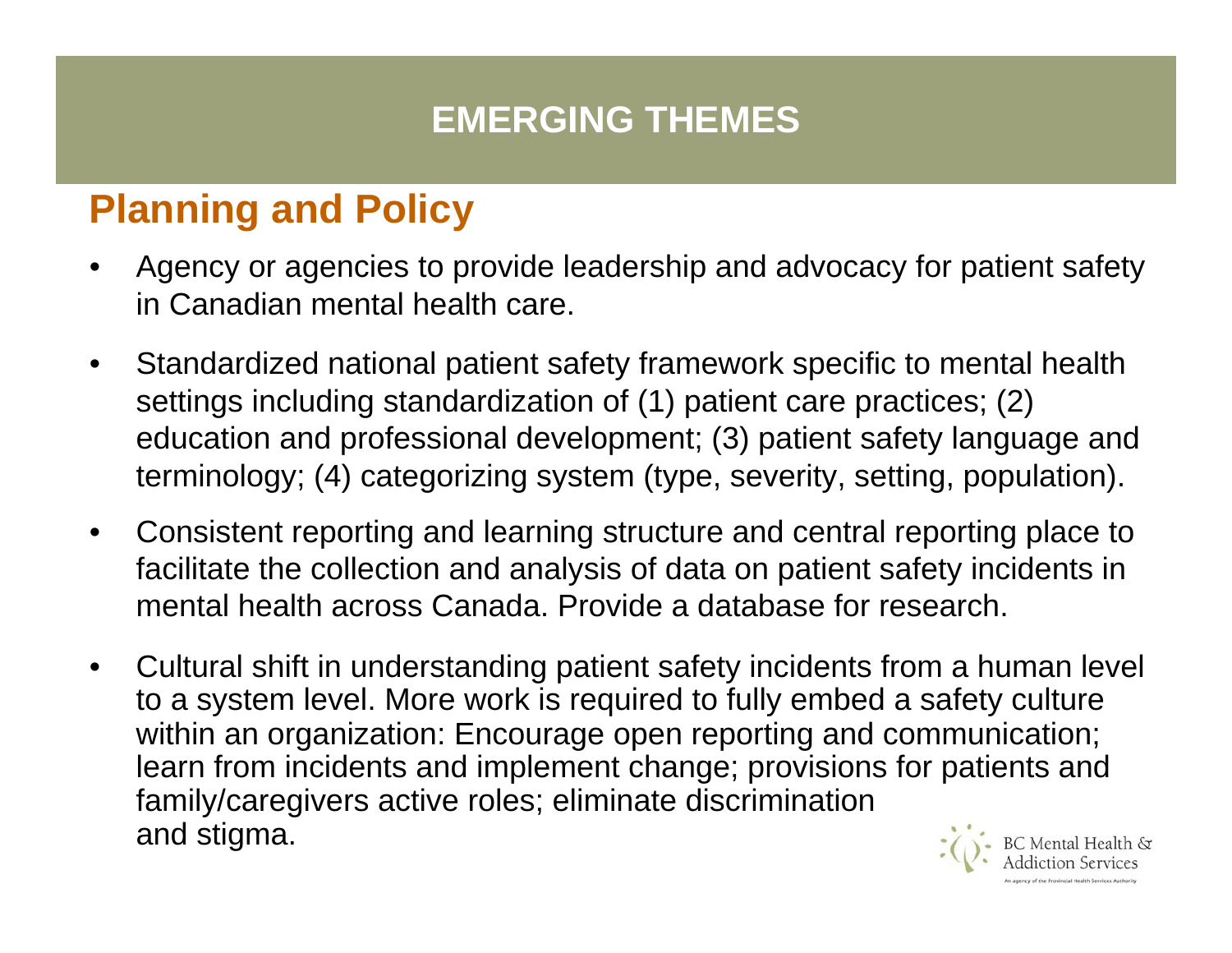### **EMERGING THEMES**

# **Planning and Policy**

- • Agency or agencies to provide leadership and advocacy for patient safety in Canadian mental health care.
- • Standardized national patient safety framework specific to mental health settings including standardization of (1) patient care practices; (2) education and professional development; (3) patient safety language and terminology; (4) categorizing system (type, severity, setting, population).
- • Consistent reporting and learning structure and central reporting place to facilitate the collection and analysis of data on patient safety incidents in mental health across Canada. Provide a database for research.
- • Cultural shift in understanding patient safety incidents from a human level to a system level. More work is required to fully embed a safety culture within an organization: Encourage open reporting and communication; learn from incidents and implement change; provisions for patients and family/caregivers active roles; eliminate discrimination and stigma.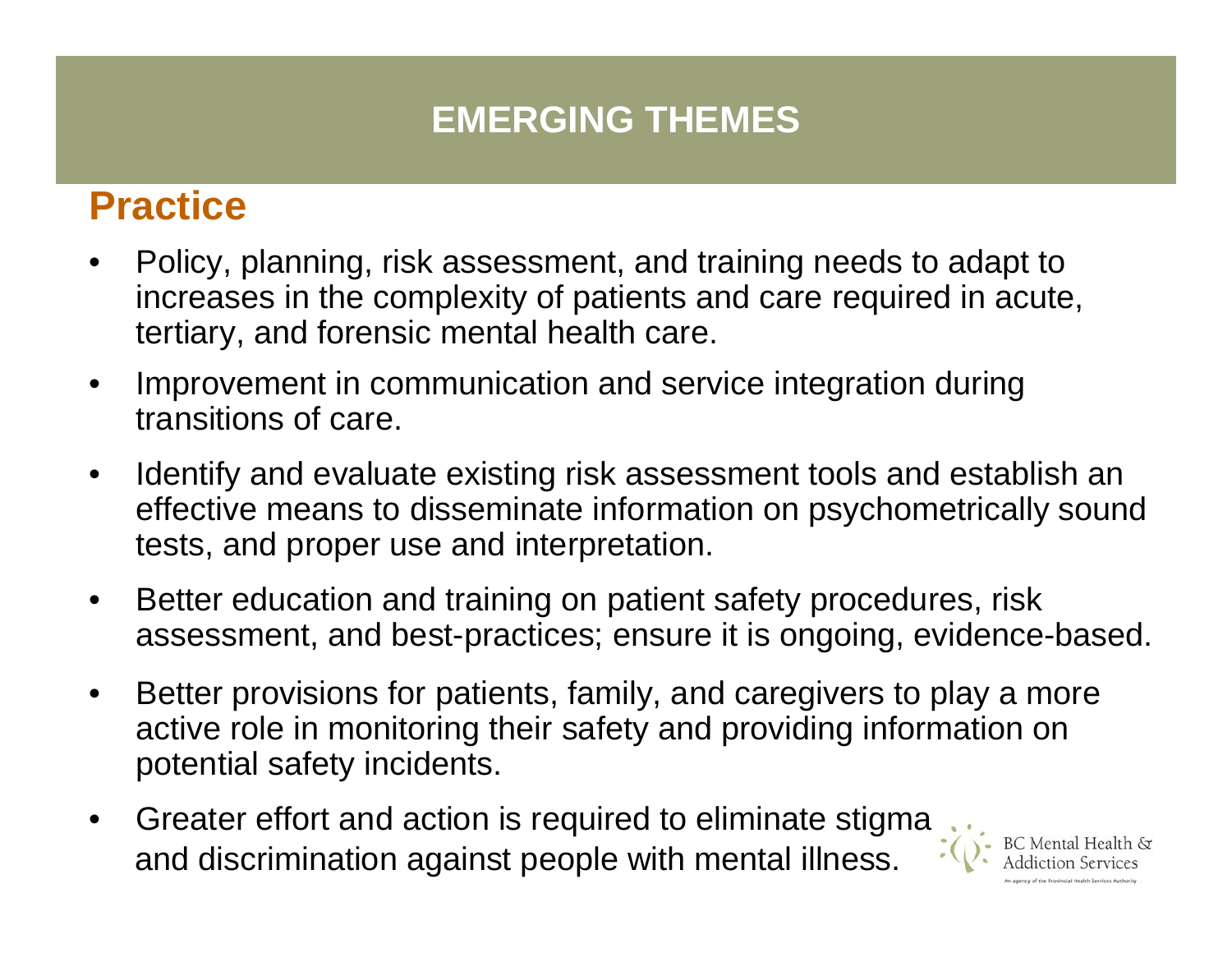## **EMERGING THEMES**

## **Practice**

- • Policy, planning, risk assessment, and training needs to adapt to increases in the complexity of patients and care required in acute, tertiary, and forensic mental health care.
- • Improvement in communication and service integration during transitions of care.
- • Identify and evaluate existing risk assessment tools and establish an effective means to disseminate information on psychometrically sound tests, and proper use and interpretation.
- • Better education and training on patient safety procedures, risk assessment, and best-practices; ensure it is ongoing, evidence-based.
- • Better provisions for patients, family, and caregivers to play a more active role in monitoring their safety and providing information on potential safety incidents.
- • Greater effort and action is required to eliminate stigma and discrimination against people with mental illness.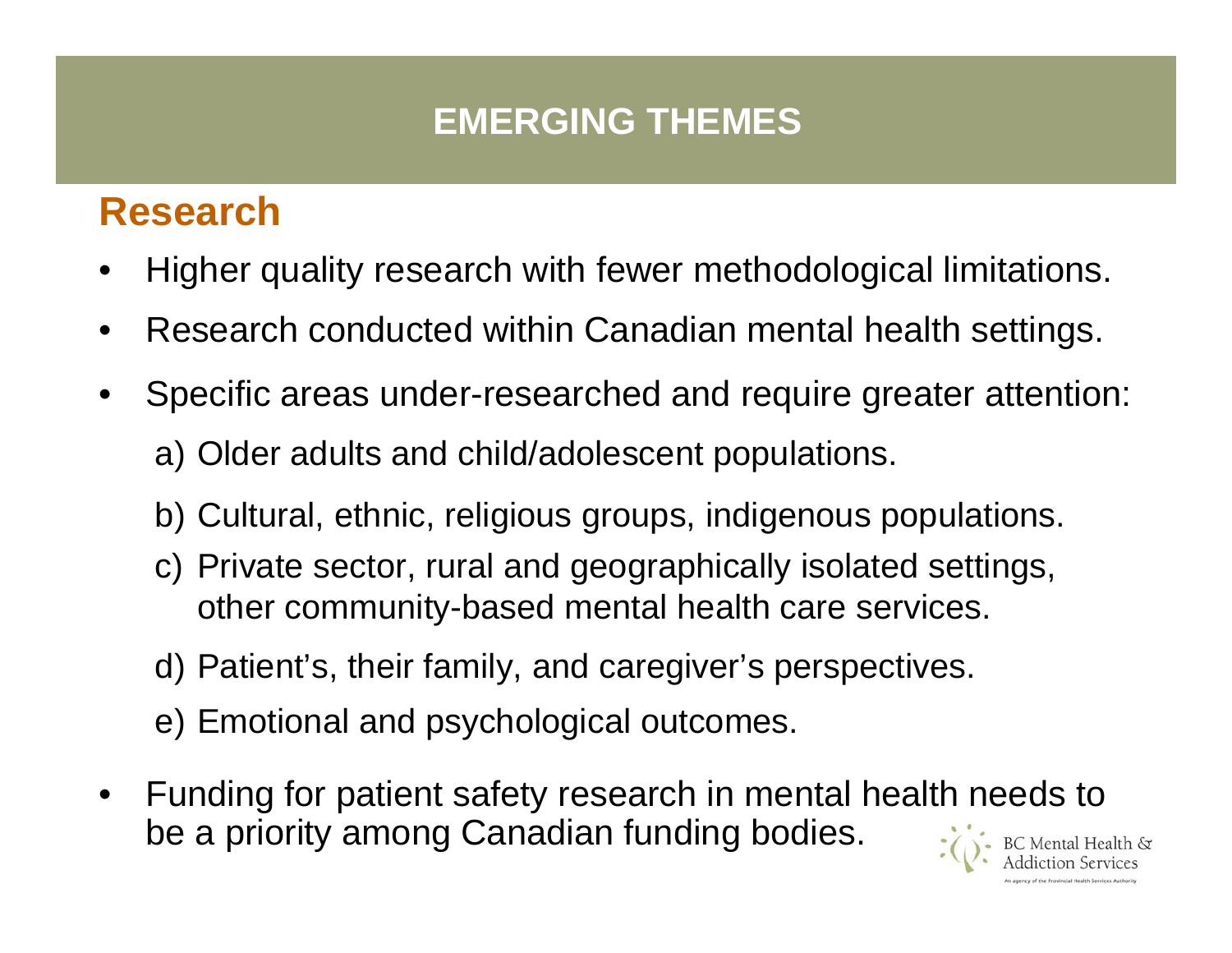## **EMERGING THEMES**

## **Research**

- •Higher quality research with fewer methodological limitations.
- •Research conducted within Canadian mental health settings.
- • Specific areas under-researched and require greater attention: a) Older adults and child/adolescent populations.
	- b) Cultural, ethnic, religious groups, indigenous populations.
	- c) Private sector, rural and geographically isolated settings, other community-based mental health care services.
	- d) Patient's, their family, and caregiver's perspectives.
	- e) Emotional and psychological outcomes.
- • Funding for patient safety research in mental health needs to be a priority among Canadian funding bodies.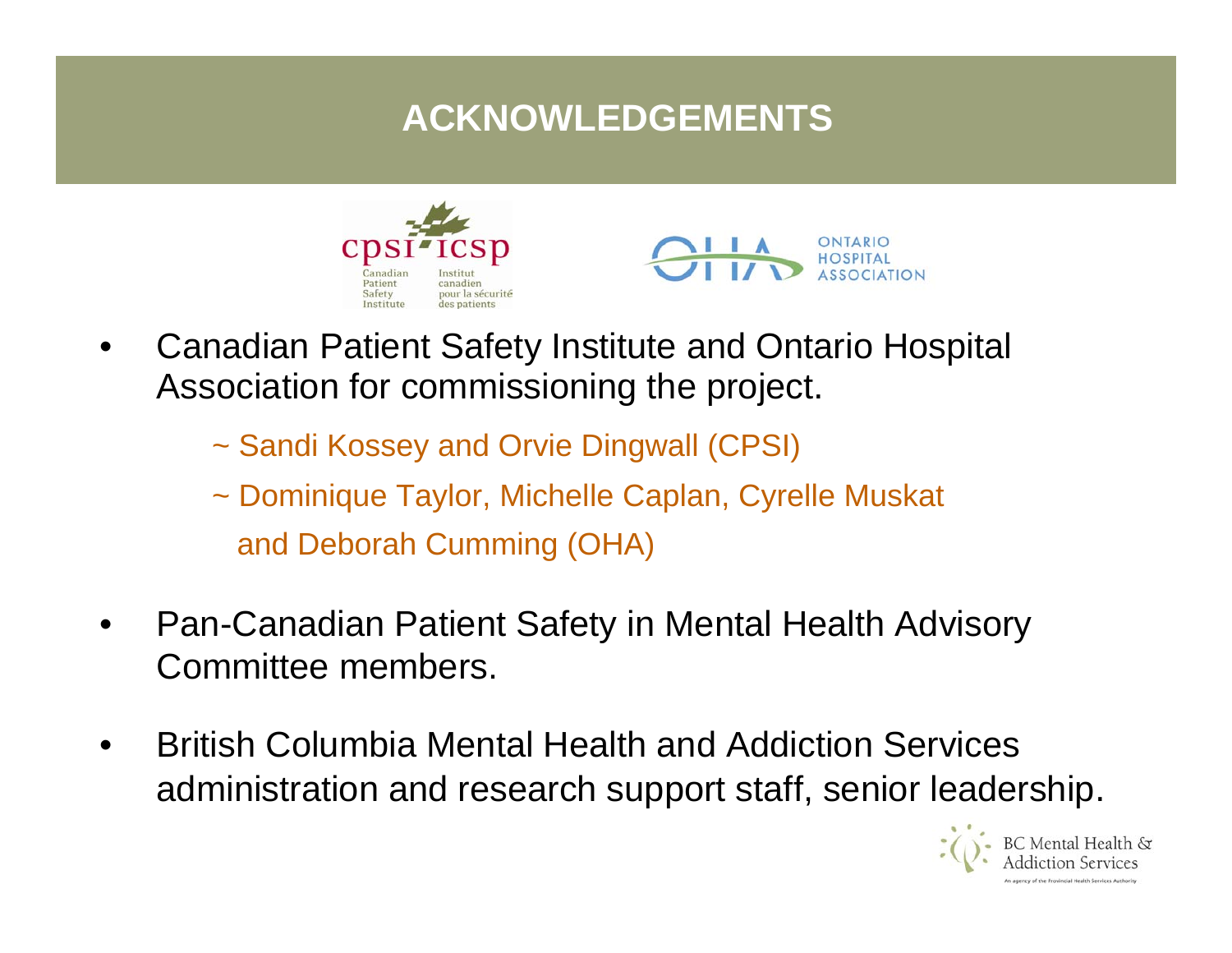## **ACKNOWLEDGEMENTS**





- •Canadian Patient Safety Institute and Ontario Hospital Association for commissioning the project.
	- ~ Sandi Kos sey and Orvie Dingwall (CPSI)
	- ~ Dominique Taylor, Michelle Caplan, Cyrelle Muskat and Deborah Cumming (OHA)
- •Pan-Canadian Patient Safety in Mental Health Advisory Committee members.
- •British Columbia Mental Health and Addiction Services administration and research support staff, senior leadership.

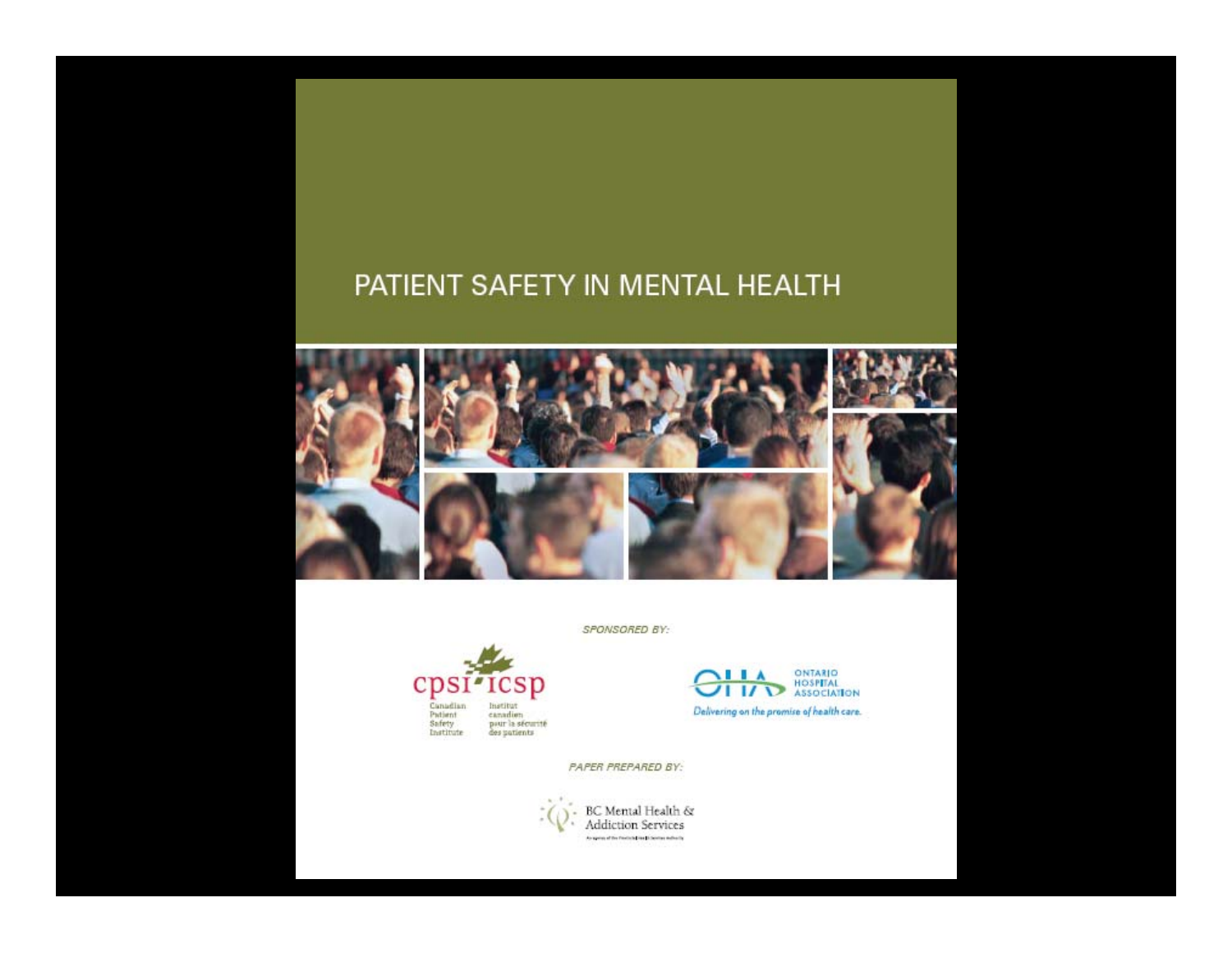#### PATIENT SAFETY IN MENTAL HEALTH



SPONSORED BY:



ONTARIO<br>HOSPITAL<br>ASSOCIATION **IIA**  $\overline{1}$   $\overline{1}$ Delivering on the promise of health care.

PAPER PREPARED BY:

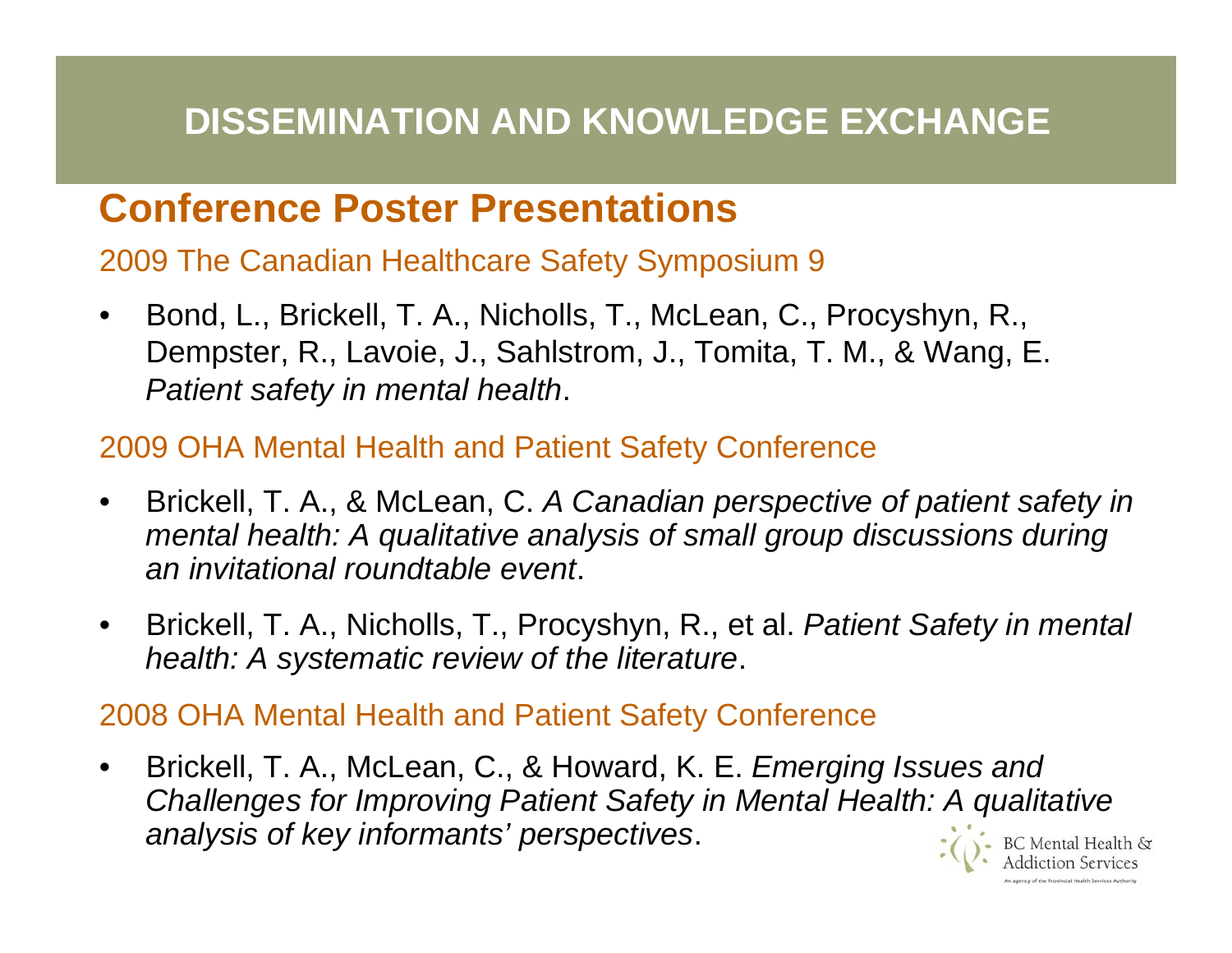#### **DISSEMINATION AND KNOWLEDGE EXCHANGE**

#### **Conference Poster Presentations**

2009 The Canadian Healthcare Safety Symposium 9

•Bond, L., Brickell, T. A., Nicholls, T., McLean, C., Procyshyn, R., Dempster, R., Lavoie, J., Sahlstrom, J., Tomita, T. M., & Wang, E. *Patient safety in mental health*.

#### 2009 OHA Mental Health and Patient Safety Conference

- •Brickell, T. A., & McLean, C. *A Canadian perspective of patient safety in mental health: A qualitative analysis of small group discus sions during an invitational roundtable event*.
- •Brickell, T. A., Nicholls, T., Procyshyn, R., et al. *Patient Safety in mental health: A systematic review of the literature*.

2008 OHA Mental Health and Patient Safety Conference

•Brickell, T. A., McLean, C., & Howard, K. E. *Emerging Issues and Challenges for Improving Patient Safety in Mental Health: A qualitative analys is of key informants' perspectives*.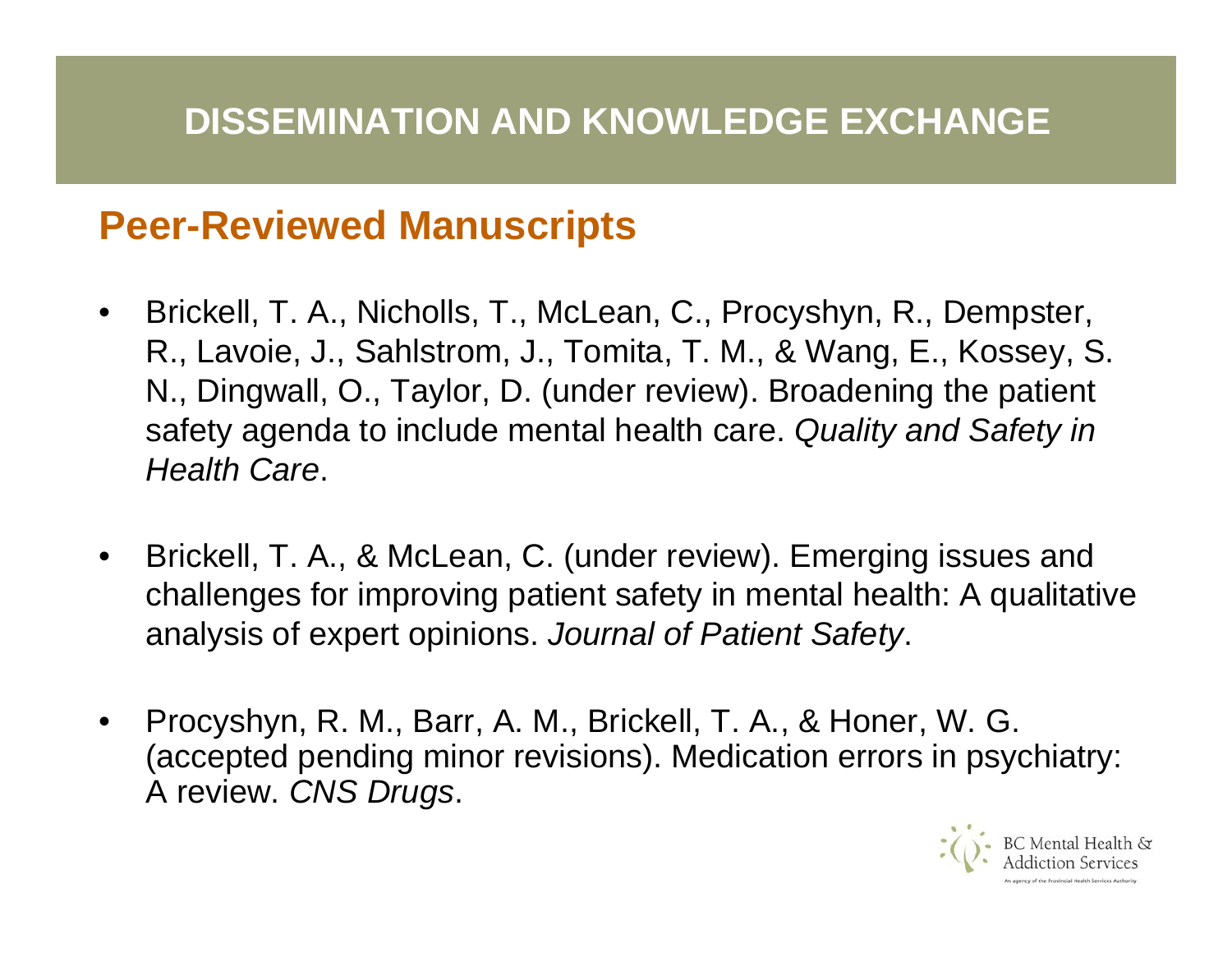#### **Peer-Reviewed Manuscripts**

- •Brickell, T. A., Nicholls, T., McLean, C., Procyshyn, R., Dempster, R., Lavoie, J., Sahlstrom, J., Tomit a, T. M., & Wang, E., Kossey, S. N., Dingwall, O., Taylor, D. (under review). Broadening the patient safety agenda to include mental health care. *Quality and Safety in Health Care*.
- •Brickell, T. A., & M cLean, C. (under review). Emerging issues and challenges for improving patient safety in mental health: A qualitative analysis of expert opinions. *Journal of Patient Safety*.
- •Procyshyn, R. M., Barr, A. M., Brickell, T. A., & Honer, W. G. (accepted pending minor revisions). Medication errors in psychiatry: A review. *CNS Drugs*.

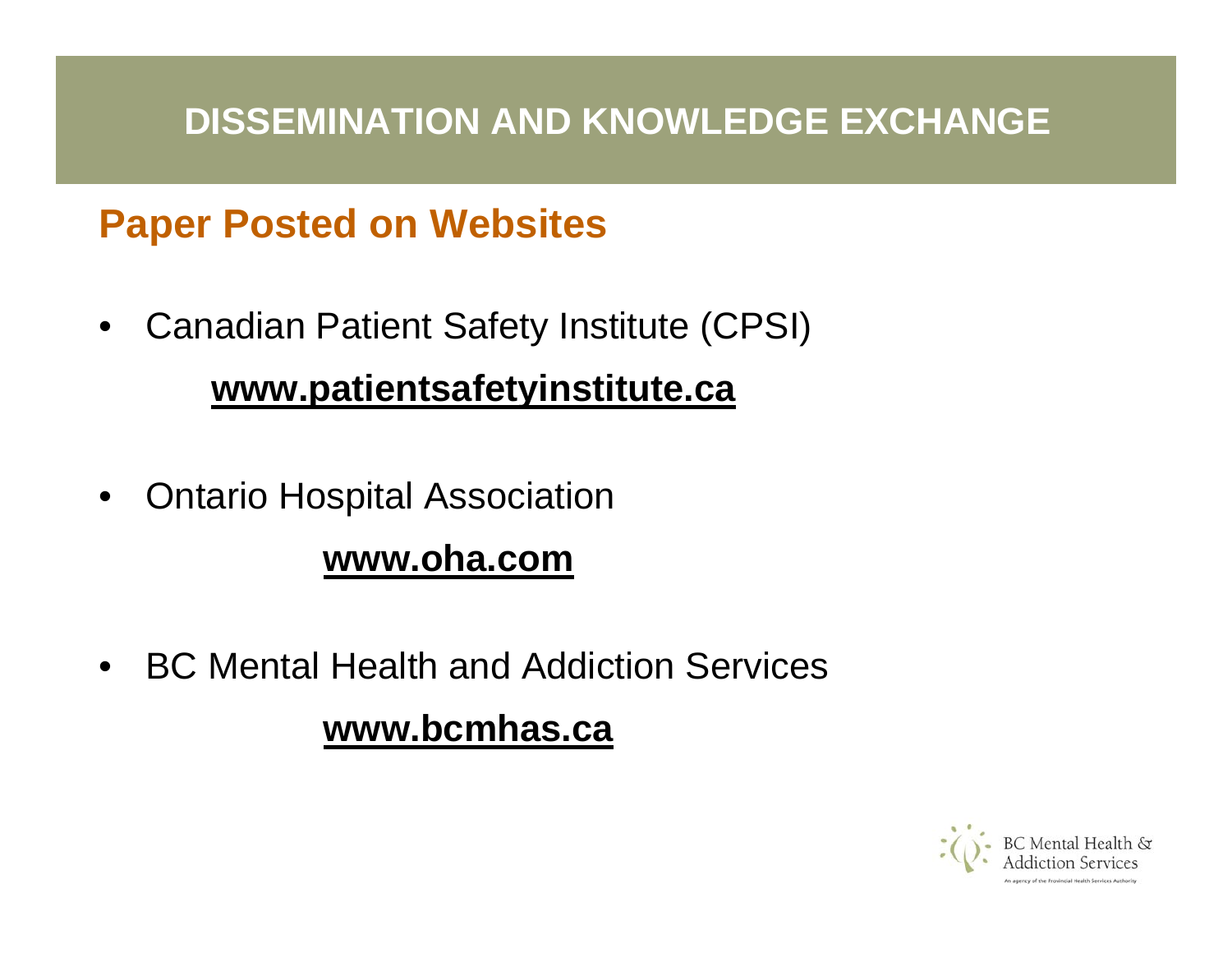#### **DISSEMINATION AND KNOWLEDGE EXCHANGE**

## **Paper Posted on Websites**

- •Canadian Patient Safety Institute (CPSI) **www.patientsafetyinstitute.ca**
- •Ontario Hospital Association

#### **www.oha.com**

•BC Mental Health and Addiction Services

#### **www.bcmhas.ca**

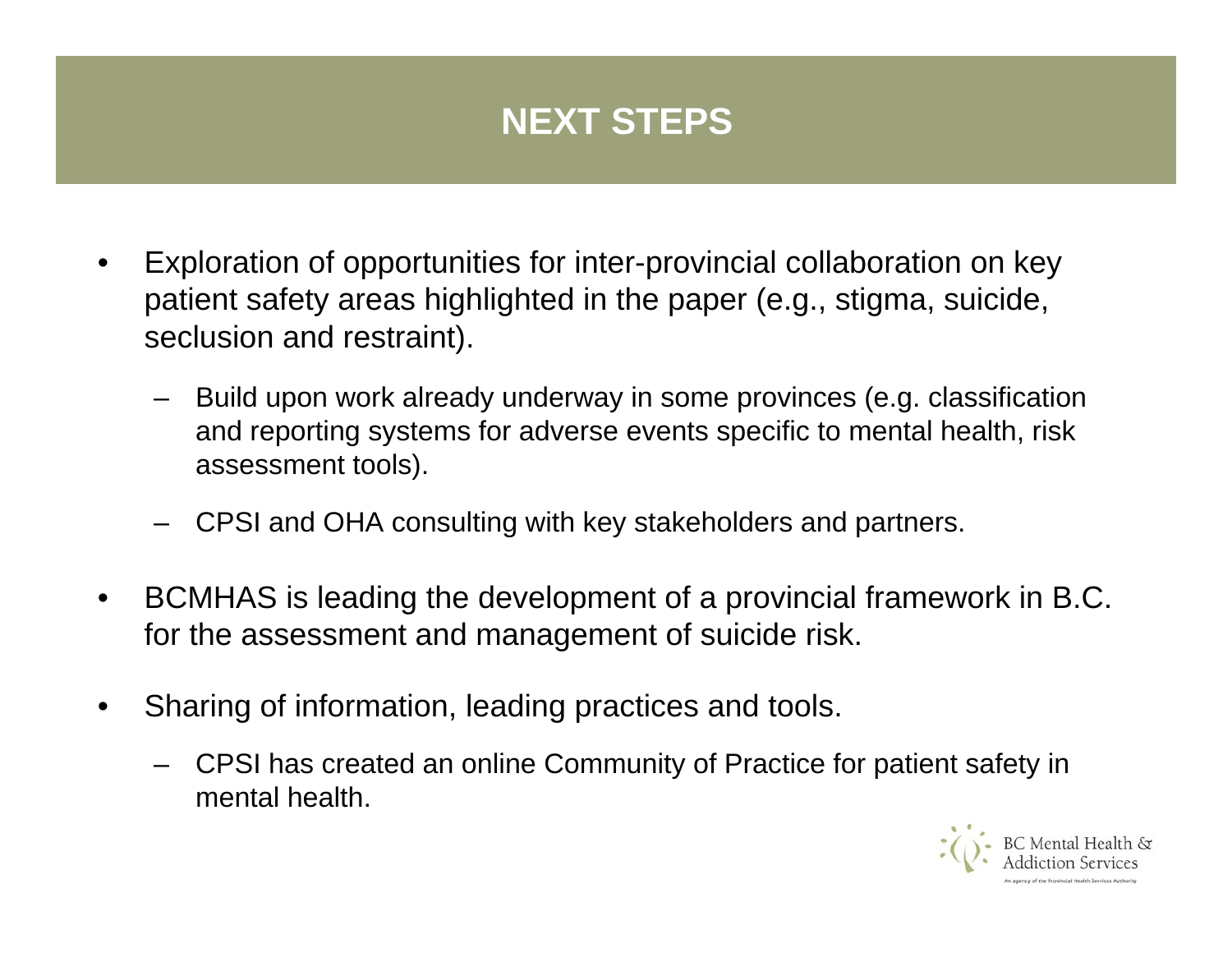## **NEXT STEPS**

- • Exploration of opportunities for inter-provincial collaboration on key patient safety areas highlighted in the paper (e.g., stigma, suicide, seclusion and restraint).
	- Build upon work already underway in some provinces (e.g. classification and reporting systems for adverse events specific to mental health, risk assessment tools).
	- –CPSI and OHA consulting with key stakeholders and partners.
- • BCMHAS is leading the development of a provincial framework in B.C. for the assessment and management of suicide risk.
- • Sharing of information, leading practices and tools.
	- CPSI has created an online Community of Practice for patient safety in mental health.